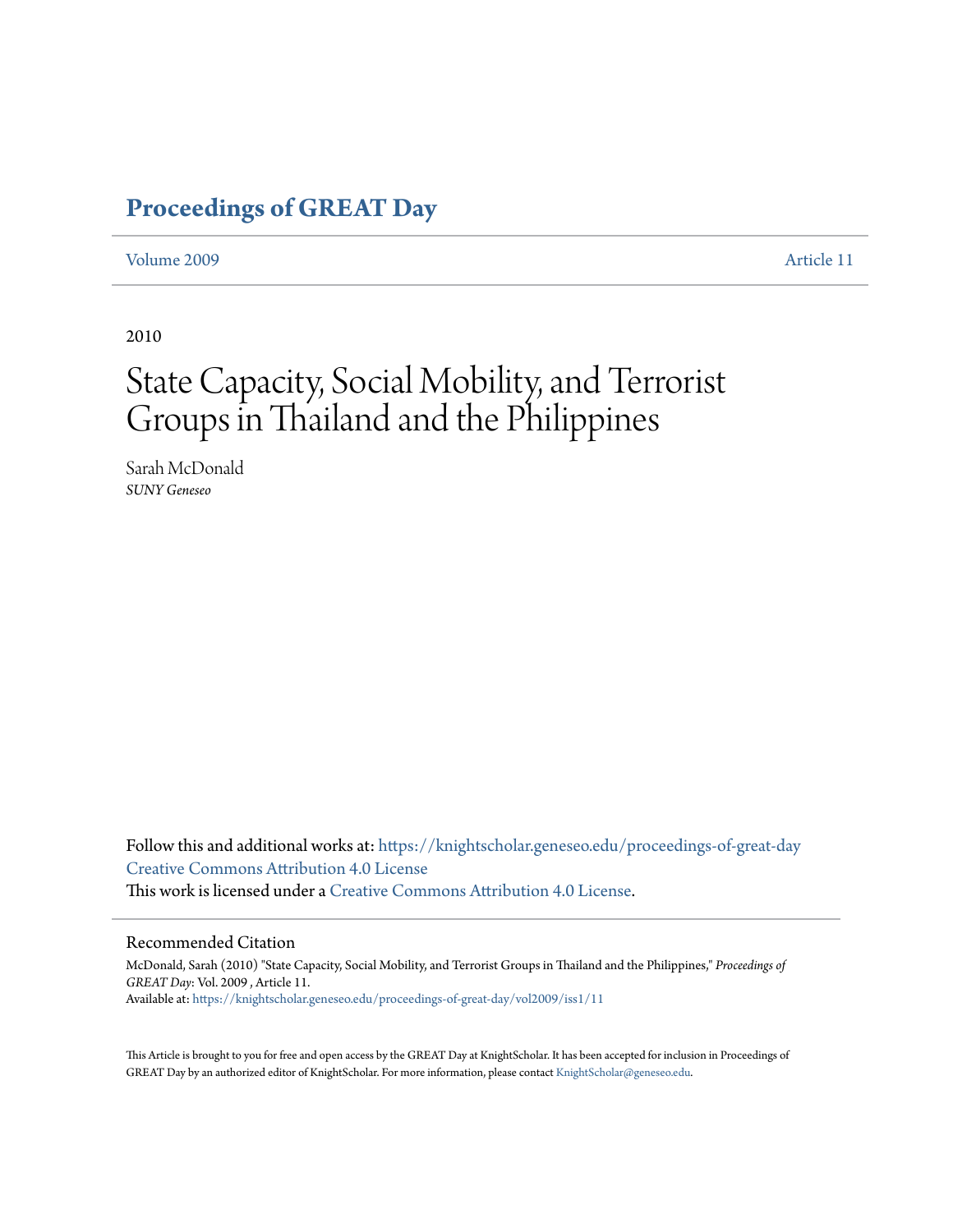## **[Proceedings of GREAT Day](https://knightscholar.geneseo.edu/proceedings-of-great-day?utm_source=knightscholar.geneseo.edu%2Fproceedings-of-great-day%2Fvol2009%2Fiss1%2F11&utm_medium=PDF&utm_campaign=PDFCoverPages)**

#### [Volume 2009](https://knightscholar.geneseo.edu/proceedings-of-great-day/vol2009?utm_source=knightscholar.geneseo.edu%2Fproceedings-of-great-day%2Fvol2009%2Fiss1%2F11&utm_medium=PDF&utm_campaign=PDFCoverPages) [Article 11](https://knightscholar.geneseo.edu/proceedings-of-great-day/vol2009/iss1/11?utm_source=knightscholar.geneseo.edu%2Fproceedings-of-great-day%2Fvol2009%2Fiss1%2F11&utm_medium=PDF&utm_campaign=PDFCoverPages)

2010

# State Capacity, Social Mobility, and Terrorist Groups in Thailand and the Philippines

Sarah McDonald *SUNY Geneseo*

Follow this and additional works at: [https://knightscholar.geneseo.edu/proceedings-of-great-day](https://knightscholar.geneseo.edu/proceedings-of-great-day?utm_source=knightscholar.geneseo.edu%2Fproceedings-of-great-day%2Fvol2009%2Fiss1%2F11&utm_medium=PDF&utm_campaign=PDFCoverPages) [Creative Commons Attribution 4.0 License](http://creativecommons.org/licenses/by/4.0/) This work is licensed under a [Creative Commons Attribution 4.0 License.](http://creativecommons.org/licenses/by/4.0/)

#### Recommended Citation

McDonald, Sarah (2010) "State Capacity, Social Mobility, and Terrorist Groups in Thailand and the Philippines," *Proceedings of GREAT Day*: Vol. 2009 , Article 11. Available at: [https://knightscholar.geneseo.edu/proceedings-of-great-day/vol2009/iss1/11](https://knightscholar.geneseo.edu/proceedings-of-great-day/vol2009/iss1/11?utm_source=knightscholar.geneseo.edu%2Fproceedings-of-great-day%2Fvol2009%2Fiss1%2F11&utm_medium=PDF&utm_campaign=PDFCoverPages)

This Article is brought to you for free and open access by the GREAT Day at KnightScholar. It has been accepted for inclusion in Proceedings of GREAT Day by an authorized editor of KnightScholar. For more information, please contact [KnightScholar@geneseo.edu.](mailto:KnightScholar@geneseo.edu)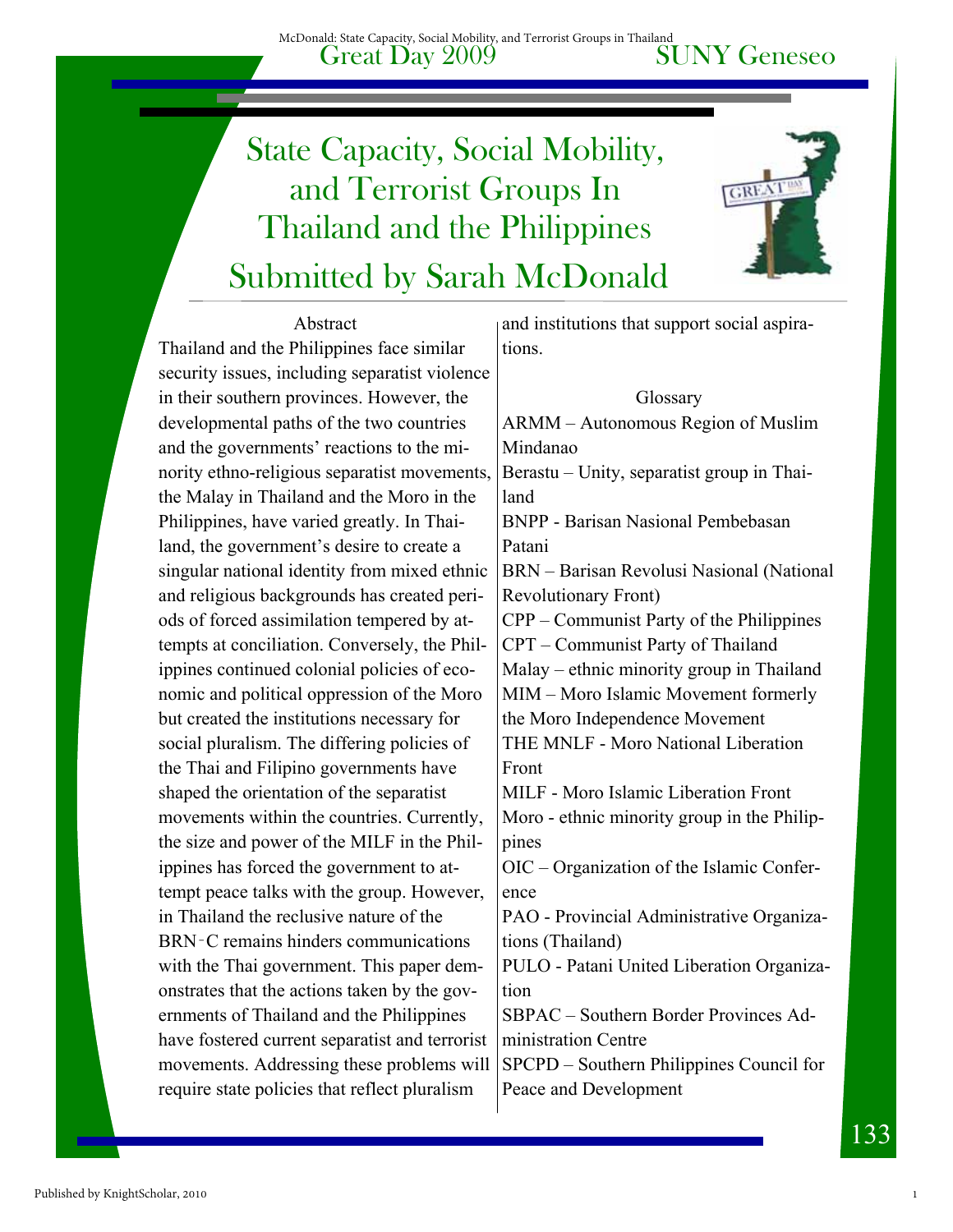# Submitted by Sarah McDonald State Capacity, Social Mobility, and Terrorist Groups In Thailand and the Philippines



#### Abstract

Thailand and the Philippines face similar security issues, including separatist violence in their southern provinces. However, the developmental paths of the two countries and the governments' reactions to the minority ethno-religious separatist movements, the Malay in Thailand and the Moro in the Philippines, have varied greatly. In Thailand, the government's desire to create a singular national identity from mixed ethnic and religious backgrounds has created periods of forced assimilation tempered by attempts at conciliation. Conversely, the Philippines continued colonial policies of economic and political oppression of the Moro but created the institutions necessary for social pluralism. The differing policies of the Thai and Filipino governments have shaped the orientation of the separatist movements within the countries. Currently, the size and power of the MILF in the Philippines has forced the government to attempt peace talks with the group. However, in Thailand the reclusive nature of the BRN‑C remains hinders communications with the Thai government. This paper demonstrates that the actions taken by the governments of Thailand and the Philippines have fostered current separatist and terrorist movements. Addressing these problems will require state policies that reflect pluralism

and institutions that support social aspirations.

#### Glossary

ARMM – Autonomous Region of Muslim Mindanao Berastu – Unity, separatist group in Thailand BNPP - Barisan Nasional Pembebasan Patani BRN – Barisan Revolusi Nasional (National Revolutionary Front) CPP – Communist Party of the Philippines CPT – Communist Party of Thailand Malay – ethnic minority group in Thailand MIM – Moro Islamic Movement formerly the Moro Independence Movement THE MNLF - Moro National Liberation Front MILF - Moro Islamic Liberation Front Moro - ethnic minority group in the Philippines OIC – Organization of the Islamic Conference PAO - Provincial Administrative Organizations (Thailand) PULO - Patani United Liberation Organization SBPAC – Southern Border Provinces Administration Centre SPCPD – Southern Philippines Council for Peace and Development

1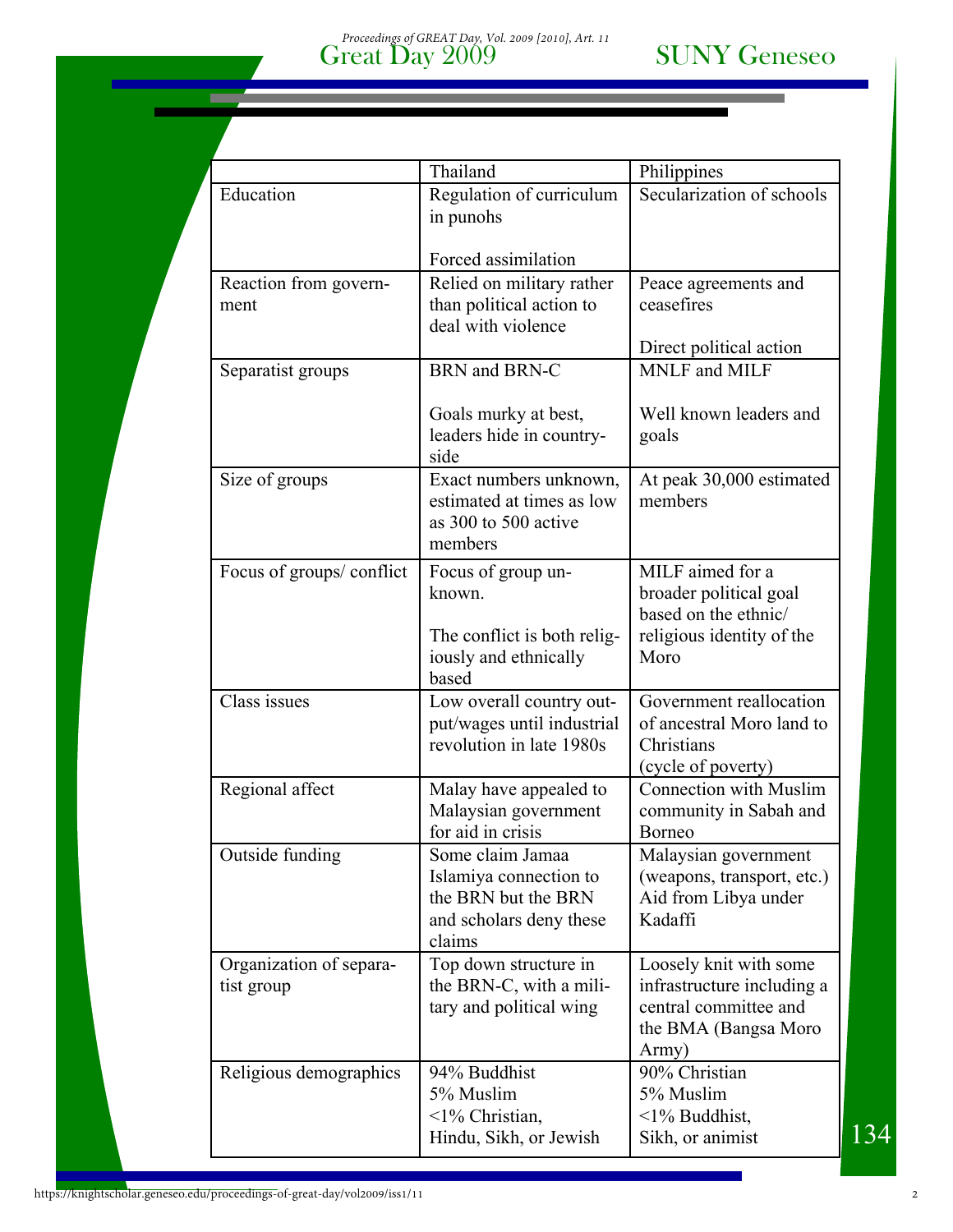|                                       | Thailand                                                                                               | Philippines                                                                                                                 |
|---------------------------------------|--------------------------------------------------------------------------------------------------------|-----------------------------------------------------------------------------------------------------------------------------|
| Education                             | Regulation of curriculum<br>in punohs                                                                  | Secularization of schools                                                                                                   |
|                                       | Forced assimilation                                                                                    |                                                                                                                             |
| Reaction from govern-<br>ment         | Relied on military rather<br>than political action to<br>deal with violence                            | Peace agreements and<br>ceasefires                                                                                          |
|                                       |                                                                                                        | Direct political action                                                                                                     |
| Separatist groups                     | BRN and BRN-C                                                                                          | MNLF and MILF                                                                                                               |
|                                       | Goals murky at best,<br>leaders hide in country-<br>side                                               | Well known leaders and<br>goals                                                                                             |
| Size of groups                        | Exact numbers unknown,<br>estimated at times as low<br>as 300 to 500 active<br>members                 | At peak 30,000 estimated<br>members                                                                                         |
| Focus of groups/conflict              | Focus of group un-<br>known.<br>The conflict is both relig-<br>iously and ethnically<br>based          | $\overline{\text{MILF}}$ aimed for a<br>broader political goal<br>based on the ethnic/<br>religious identity of the<br>Moro |
| Class issues                          | Low overall country out-<br>put/wages until industrial<br>revolution in late 1980s                     | Government reallocation<br>of ancestral Moro land to<br>Christians<br>(cycle of poverty)                                    |
| Regional affect                       | Malay have appealed to<br>Malaysian government<br>for aid in crisis                                    | <b>Connection with Muslim</b><br>community in Sabah and<br><b>Borneo</b>                                                    |
| Outside funding                       | Some claim Jamaa<br>Islamiya connection to<br>the BRN but the BRN<br>and scholars deny these<br>claims | Malaysian government<br>(weapons, transport, etc.)<br>Aid from Libya under<br>Kadaffi                                       |
| Organization of separa-<br>tist group | Top down structure in<br>the BRN-C, with a mili-<br>tary and political wing                            | Loosely knit with some<br>infrastructure including a<br>central committee and<br>the BMA (Bangsa Moro<br>Army)              |
| Religious demographics                | 94% Buddhist<br>5% Muslim<br><1% Christian,<br>Hindu, Sikh, or Jewish                                  | 90% Christian<br>5% Muslim<br>$\leq$ 1% Buddhist,<br>Sikh, or animist                                                       |

×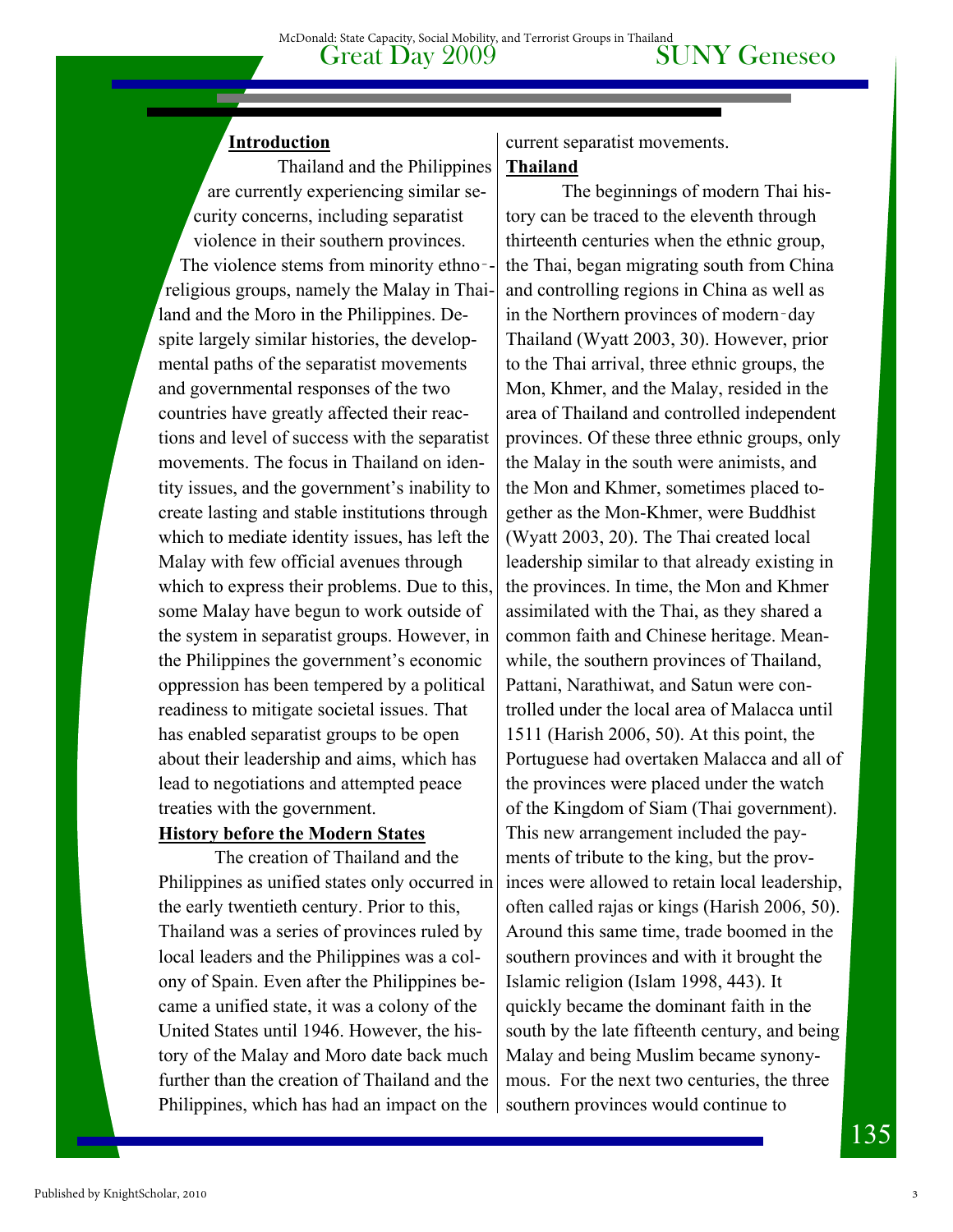#### **Introduction**

 Thailand and the Philippines are currently experiencing similar security concerns, including separatist violence in their southern provinces. The violence stems from minority ethno-religious groups, namely the Malay in Thailand and the Moro in the Philippines. Despite largely similar histories, the developmental paths of the separatist movements and governmental responses of the two countries have greatly affected their reactions and level of success with the separatist movements. The focus in Thailand on identity issues, and the government's inability to create lasting and stable institutions through which to mediate identity issues, has left the Malay with few official avenues through which to express their problems. Due to this, some Malay have begun to work outside of the system in separatist groups. However, in the Philippines the government's economic oppression has been tempered by a political readiness to mitigate societal issues. That has enabled separatist groups to be open about their leadership and aims, which has lead to negotiations and attempted peace treaties with the government.

#### **History before the Modern States**

 The creation of Thailand and the Philippines as unified states only occurred in the early twentieth century. Prior to this, Thailand was a series of provinces ruled by local leaders and the Philippines was a colony of Spain. Even after the Philippines became a unified state, it was a colony of the United States until 1946. However, the history of the Malay and Moro date back much further than the creation of Thailand and the Philippines, which has had an impact on the

current separatist movements. **Thailand** 

The beginnings of modern Thai history can be traced to the eleventh through thirteenth centuries when the ethnic group, the Thai, began migrating south from China and controlling regions in China as well as in the Northern provinces of modern‑day Thailand (Wyatt 2003, 30). However, prior to the Thai arrival, three ethnic groups, the Mon, Khmer, and the Malay, resided in the area of Thailand and controlled independent provinces. Of these three ethnic groups, only the Malay in the south were animists, and the Mon and Khmer, sometimes placed together as the Mon-Khmer, were Buddhist (Wyatt 2003, 20). The Thai created local leadership similar to that already existing in the provinces. In time, the Mon and Khmer assimilated with the Thai, as they shared a common faith and Chinese heritage. Meanwhile, the southern provinces of Thailand, Pattani, Narathiwat, and Satun were controlled under the local area of Malacca until 1511 (Harish 2006, 50). At this point, the Portuguese had overtaken Malacca and all of the provinces were placed under the watch of the Kingdom of Siam (Thai government). This new arrangement included the payments of tribute to the king, but the provinces were allowed to retain local leadership, often called rajas or kings (Harish 2006, 50). Around this same time, trade boomed in the southern provinces and with it brought the Islamic religion (Islam 1998, 443). It quickly became the dominant faith in the south by the late fifteenth century, and being Malay and being Muslim became synonymous. For the next two centuries, the three southern provinces would continue to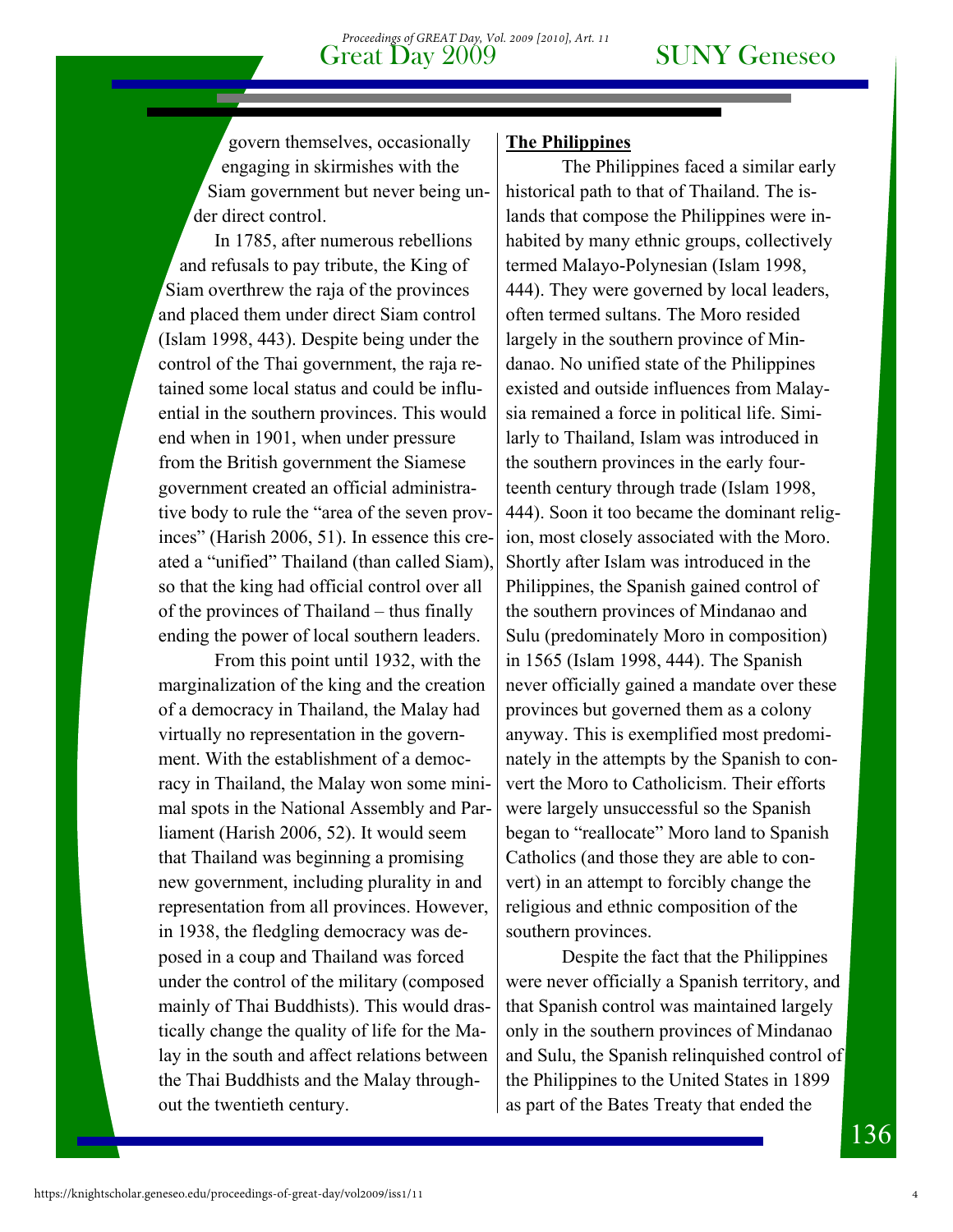govern themselves, occasionally engaging in skirmishes with the Siam government but never being under direct control.

In 1785, after numerous rebellions and refusals to pay tribute, the King of Siam overthrew the raja of the provinces and placed them under direct Siam control (Islam 1998, 443). Despite being under the control of the Thai government, the raja retained some local status and could be influential in the southern provinces. This would end when in 1901, when under pressure from the British government the Siamese government created an official administrative body to rule the "area of the seven provinces" (Harish 2006, 51). In essence this created a "unified" Thailand (than called Siam), so that the king had official control over all of the provinces of Thailand – thus finally ending the power of local southern leaders.

From this point until 1932, with the marginalization of the king and the creation of a democracy in Thailand, the Malay had virtually no representation in the government. With the establishment of a democracy in Thailand, the Malay won some minimal spots in the National Assembly and Parliament (Harish 2006, 52). It would seem that Thailand was beginning a promising new government, including plurality in and representation from all provinces. However, in 1938, the fledgling democracy was deposed in a coup and Thailand was forced under the control of the military (composed mainly of Thai Buddhists). This would drastically change the quality of life for the Malay in the south and affect relations between the Thai Buddhists and the Malay throughout the twentieth century.

#### **The Philippines**

The Philippines faced a similar early historical path to that of Thailand. The islands that compose the Philippines were inhabited by many ethnic groups, collectively termed Malayo-Polynesian (Islam 1998, 444). They were governed by local leaders, often termed sultans. The Moro resided largely in the southern province of Mindanao. No unified state of the Philippines existed and outside influences from Malaysia remained a force in political life. Similarly to Thailand, Islam was introduced in the southern provinces in the early fourteenth century through trade (Islam 1998, 444). Soon it too became the dominant religion, most closely associated with the Moro. Shortly after Islam was introduced in the Philippines, the Spanish gained control of the southern provinces of Mindanao and Sulu (predominately Moro in composition) in 1565 (Islam 1998, 444). The Spanish never officially gained a mandate over these provinces but governed them as a colony anyway. This is exemplified most predominately in the attempts by the Spanish to convert the Moro to Catholicism. Their efforts were largely unsuccessful so the Spanish began to "reallocate" Moro land to Spanish Catholics (and those they are able to convert) in an attempt to forcibly change the religious and ethnic composition of the southern provinces.

Despite the fact that the Philippines were never officially a Spanish territory, and that Spanish control was maintained largely only in the southern provinces of Mindanao and Sulu, the Spanish relinquished control of the Philippines to the United States in 1899 as part of the Bates Treaty that ended the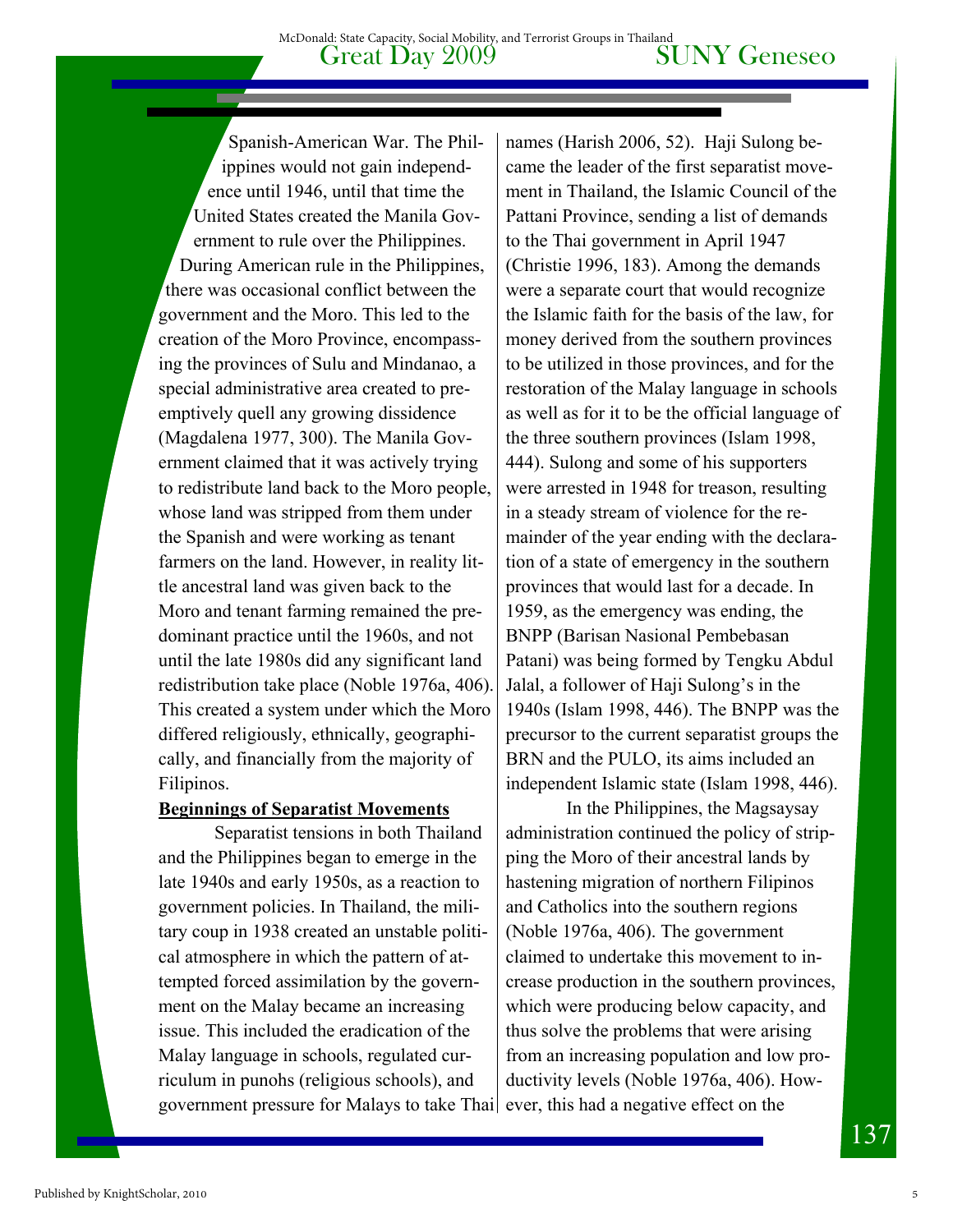Spanish-American War. The Philippines would not gain independence until 1946, until that time the United States created the Manila Government to rule over the Philippines. During American rule in the Philippines, there was occasional conflict between the government and the Moro. This led to the creation of the Moro Province, encompassing the provinces of Sulu and Mindanao, a special administrative area created to preemptively quell any growing dissidence (Magdalena 1977, 300). The Manila Government claimed that it was actively trying to redistribute land back to the Moro people, whose land was stripped from them under the Spanish and were working as tenant farmers on the land. However, in reality little ancestral land was given back to the Moro and tenant farming remained the predominant practice until the 1960s, and not until the late 1980s did any significant land redistribution take place (Noble 1976a, 406). This created a system under which the Moro differed religiously, ethnically, geographically, and financially from the majority of Filipinos.

#### **Beginnings of Separatist Movements**

 Separatist tensions in both Thailand and the Philippines began to emerge in the late 1940s and early 1950s, as a reaction to government policies. In Thailand, the military coup in 1938 created an unstable political atmosphere in which the pattern of attempted forced assimilation by the government on the Malay became an increasing issue. This included the eradication of the Malay language in schools, regulated curriculum in punohs (religious schools), and government pressure for Malays to take Thai ever, this had a negative effect on the

names (Harish 2006, 52). Haji Sulong became the leader of the first separatist movement in Thailand, the Islamic Council of the Pattani Province, sending a list of demands to the Thai government in April 1947 (Christie 1996, 183). Among the demands were a separate court that would recognize the Islamic faith for the basis of the law, for money derived from the southern provinces to be utilized in those provinces, and for the restoration of the Malay language in schools as well as for it to be the official language of the three southern provinces (Islam 1998, 444). Sulong and some of his supporters were arrested in 1948 for treason, resulting in a steady stream of violence for the remainder of the year ending with the declaration of a state of emergency in the southern provinces that would last for a decade. In 1959, as the emergency was ending, the BNPP (Barisan Nasional Pembebasan Patani) was being formed by Tengku Abdul Jalal, a follower of Haji Sulong's in the 1940s (Islam 1998, 446). The BNPP was the precursor to the current separatist groups the BRN and the PULO, its aims included an independent Islamic state (Islam 1998, 446).

 In the Philippines, the Magsaysay administration continued the policy of stripping the Moro of their ancestral lands by hastening migration of northern Filipinos and Catholics into the southern regions (Noble 1976a, 406). The government claimed to undertake this movement to increase production in the southern provinces, which were producing below capacity, and thus solve the problems that were arising from an increasing population and low productivity levels (Noble 1976a, 406). How-

 $13'$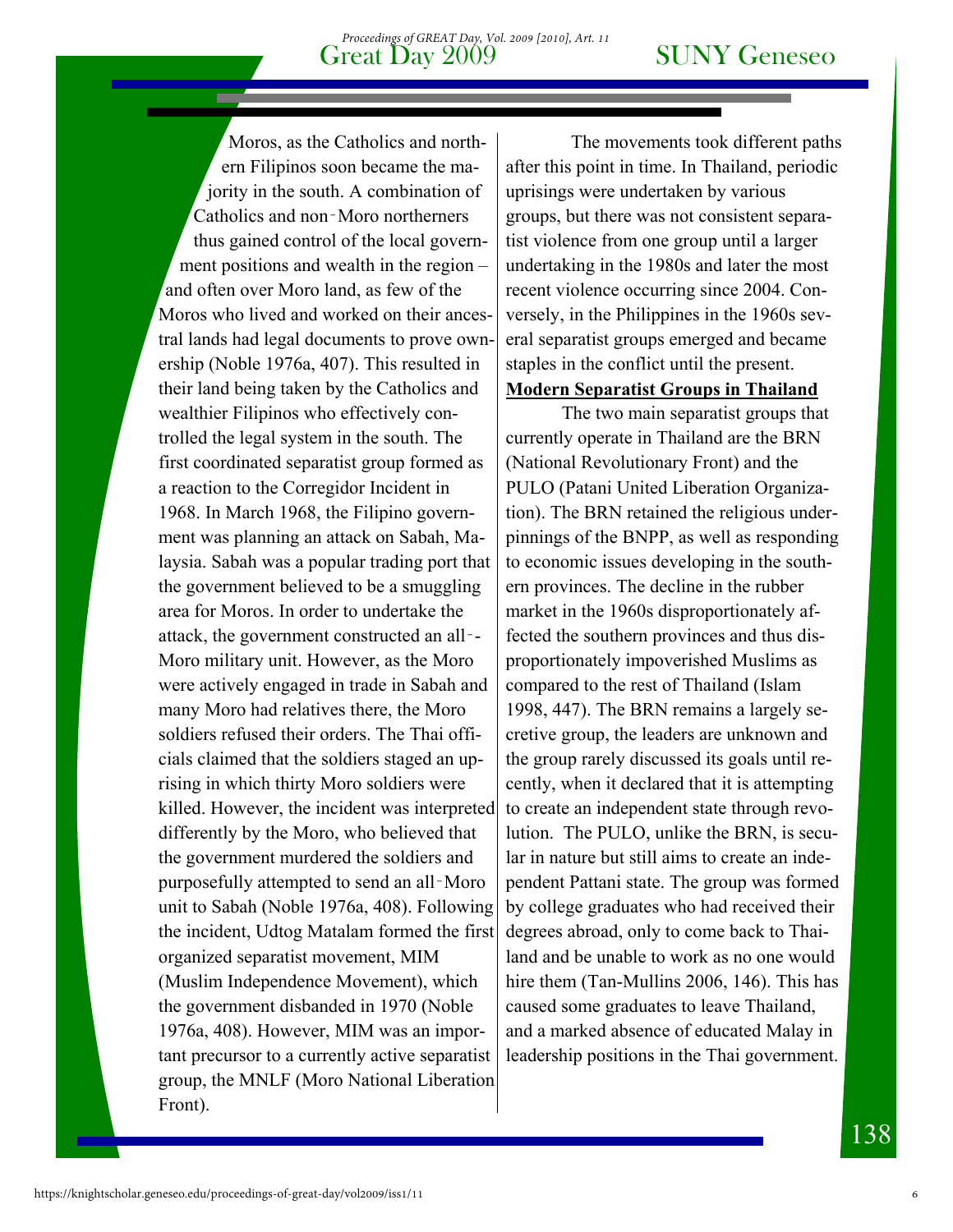#### Great Day 2009 SUNY Geneseo *Proceedings of GREAT Day, Vol. 2009 [2010], Art. 11*

Moros, as the Catholics and northern Filipinos soon became the majority in the south. A combination of Catholics and non‑Moro northerners thus gained control of the local government positions and wealth in the region – and often over Moro land, as few of the Moros who lived and worked on their ancestral lands had legal documents to prove ownership (Noble 1976a, 407). This resulted in their land being taken by the Catholics and wealthier Filipinos who effectively controlled the legal system in the south. The first coordinated separatist group formed as a reaction to the Corregidor Incident in 1968. In March 1968, the Filipino government was planning an attack on Sabah, Malaysia. Sabah was a popular trading port that the government believed to be a smuggling area for Moros. In order to undertake the attack, the government constructed an all‑- Moro military unit. However, as the Moro were actively engaged in trade in Sabah and many Moro had relatives there, the Moro soldiers refused their orders. The Thai officials claimed that the soldiers staged an uprising in which thirty Moro soldiers were killed. However, the incident was interpreted differently by the Moro, who believed that the government murdered the soldiers and purposefully attempted to send an all‑Moro unit to Sabah (Noble 1976a, 408). Following the incident, Udtog Matalam formed the first organized separatist movement, MIM (Muslim Independence Movement), which the government disbanded in 1970 (Noble 1976a, 408). However, MIM was an important precursor to a currently active separatist group, the MNLF (Moro National Liberation Front).

 The movements took different paths after this point in time. In Thailand, periodic uprisings were undertaken by various groups, but there was not consistent separatist violence from one group until a larger undertaking in the 1980s and later the most recent violence occurring since 2004. Conversely, in the Philippines in the 1960s several separatist groups emerged and became staples in the conflict until the present. **Modern Separatist Groups in Thailand**

 The two main separatist groups that currently operate in Thailand are the BRN (National Revolutionary Front) and the PULO (Patani United Liberation Organization). The BRN retained the religious underpinnings of the BNPP, as well as responding to economic issues developing in the southern provinces. The decline in the rubber market in the 1960s disproportionately affected the southern provinces and thus disproportionately impoverished Muslims as compared to the rest of Thailand (Islam 1998, 447). The BRN remains a largely secretive group, the leaders are unknown and the group rarely discussed its goals until recently, when it declared that it is attempting to create an independent state through revolution. The PULO, unlike the BRN, is secular in nature but still aims to create an independent Pattani state. The group was formed by college graduates who had received their degrees abroad, only to come back to Thailand and be unable to work as no one would hire them (Tan-Mullins 2006, 146). This has caused some graduates to leave Thailand, and a marked absence of educated Malay in leadership positions in the Thai government.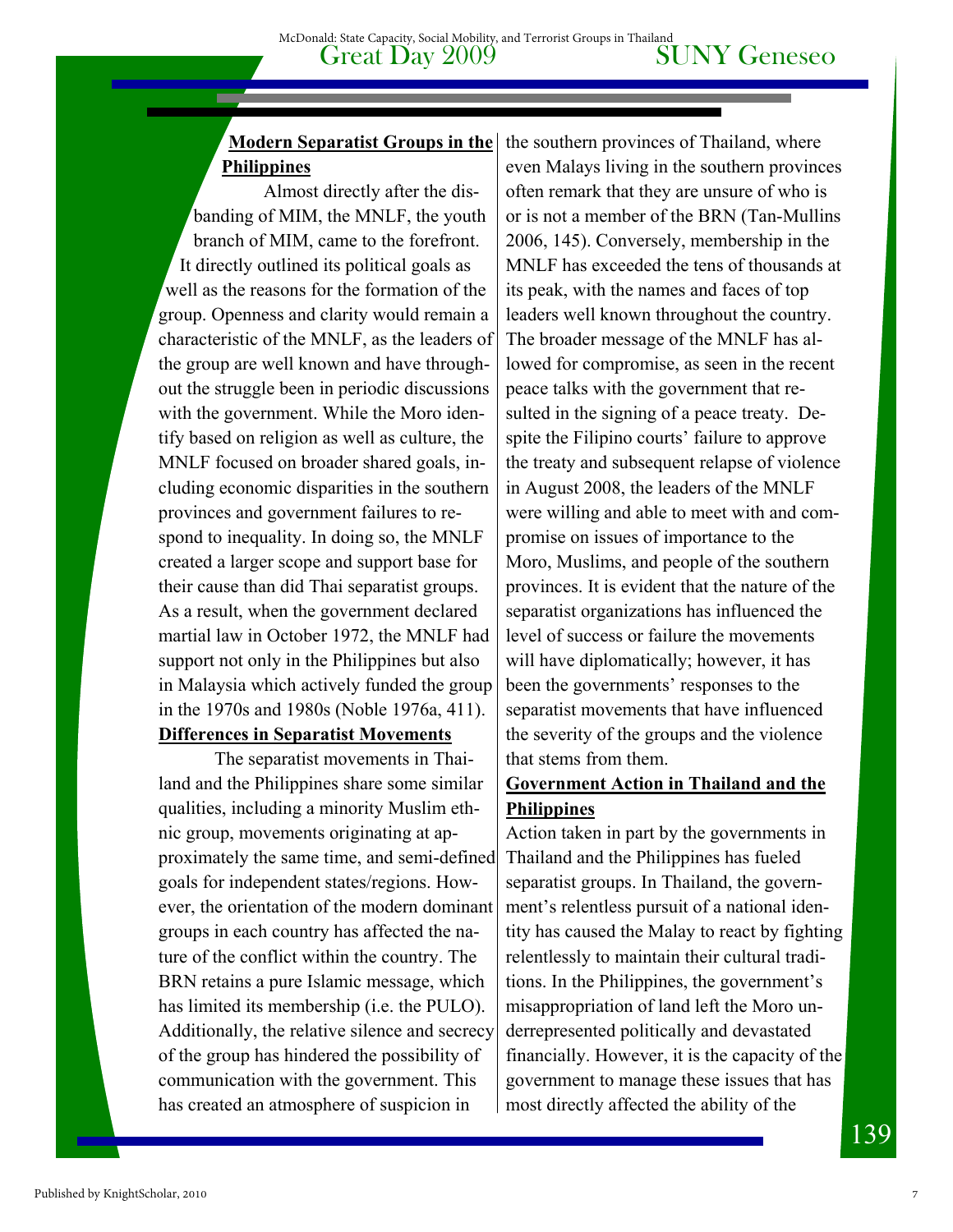#### **Modern Separatist Groups in the Philippines**

 Almost directly after the disbanding of MIM, the MNLF, the youth branch of MIM, came to the forefront. It directly outlined its political goals as well as the reasons for the formation of the group. Openness and clarity would remain a characteristic of the MNLF, as the leaders of the group are well known and have throughout the struggle been in periodic discussions with the government. While the Moro identify based on religion as well as culture, the MNLF focused on broader shared goals, including economic disparities in the southern provinces and government failures to respond to inequality. In doing so, the MNLF created a larger scope and support base for their cause than did Thai separatist groups. As a result, when the government declared martial law in October 1972, the MNLF had support not only in the Philippines but also in Malaysia which actively funded the group in the 1970s and 1980s (Noble 1976a, 411). **Differences in Separatist Movements** 

 The separatist movements in Thailand and the Philippines share some similar qualities, including a minority Muslim ethnic group, movements originating at approximately the same time, and semi-defined goals for independent states/regions. However, the orientation of the modern dominant groups in each country has affected the nature of the conflict within the country. The BRN retains a pure Islamic message, which has limited its membership (i.e. the PULO). Additionally, the relative silence and secrecy of the group has hindered the possibility of communication with the government. This has created an atmosphere of suspicion in

the southern provinces of Thailand, where even Malays living in the southern provinces often remark that they are unsure of who is or is not a member of the BRN (Tan-Mullins 2006, 145). Conversely, membership in the MNLF has exceeded the tens of thousands at its peak, with the names and faces of top leaders well known throughout the country. The broader message of the MNLF has allowed for compromise, as seen in the recent peace talks with the government that resulted in the signing of a peace treaty. Despite the Filipino courts' failure to approve the treaty and subsequent relapse of violence in August 2008, the leaders of the MNLF were willing and able to meet with and compromise on issues of importance to the Moro, Muslims, and people of the southern provinces. It is evident that the nature of the separatist organizations has influenced the level of success or failure the movements will have diplomatically; however, it has been the governments' responses to the separatist movements that have influenced the severity of the groups and the violence that stems from them.

### **Government Action in Thailand and the Philippines**

Action taken in part by the governments in Thailand and the Philippines has fueled separatist groups. In Thailand, the government's relentless pursuit of a national identity has caused the Malay to react by fighting relentlessly to maintain their cultural traditions. In the Philippines, the government's misappropriation of land left the Moro underrepresented politically and devastated financially. However, it is the capacity of the government to manage these issues that has most directly affected the ability of the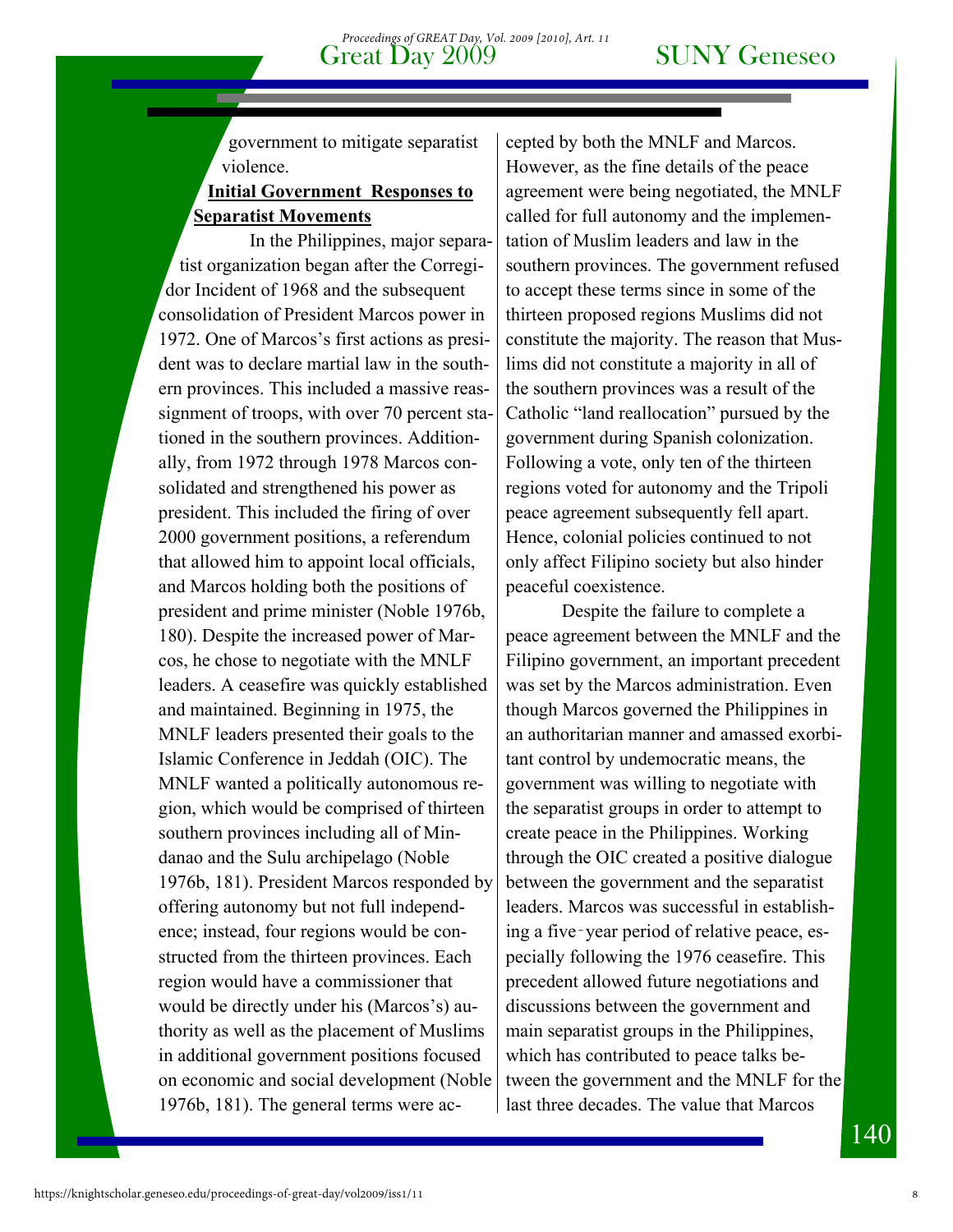government to mitigate separatist violence.

#### **Initial Government Responses to Separatist Movements**

 In the Philippines, major separatist organization began after the Corregidor Incident of 1968 and the subsequent consolidation of President Marcos power in 1972. One of Marcos's first actions as president was to declare martial law in the southern provinces. This included a massive reassignment of troops, with over 70 percent stationed in the southern provinces. Additionally, from 1972 through 1978 Marcos consolidated and strengthened his power as president. This included the firing of over 2000 government positions, a referendum that allowed him to appoint local officials, and Marcos holding both the positions of president and prime minister (Noble 1976b, 180). Despite the increased power of Marcos, he chose to negotiate with the MNLF leaders. A ceasefire was quickly established and maintained. Beginning in 1975, the MNLF leaders presented their goals to the Islamic Conference in Jeddah (OIC). The MNLF wanted a politically autonomous region, which would be comprised of thirteen southern provinces including all of Mindanao and the Sulu archipelago (Noble 1976b, 181). President Marcos responded by offering autonomy but not full independence; instead, four regions would be constructed from the thirteen provinces. Each region would have a commissioner that would be directly under his (Marcos's) authority as well as the placement of Muslims in additional government positions focused on economic and social development (Noble 1976b, 181). The general terms were ac-

cepted by both the MNLF and Marcos. However, as the fine details of the peace agreement were being negotiated, the MNLF called for full autonomy and the implementation of Muslim leaders and law in the southern provinces. The government refused to accept these terms since in some of the thirteen proposed regions Muslims did not constitute the majority. The reason that Muslims did not constitute a majority in all of the southern provinces was a result of the Catholic "land reallocation" pursued by the government during Spanish colonization. Following a vote, only ten of the thirteen regions voted for autonomy and the Tripoli peace agreement subsequently fell apart. Hence, colonial policies continued to not only affect Filipino society but also hinder peaceful coexistence.

Despite the failure to complete a peace agreement between the MNLF and the Filipino government, an important precedent was set by the Marcos administration. Even though Marcos governed the Philippines in an authoritarian manner and amassed exorbitant control by undemocratic means, the government was willing to negotiate with the separatist groups in order to attempt to create peace in the Philippines. Working through the OIC created a positive dialogue between the government and the separatist leaders. Marcos was successful in establishing a five‑year period of relative peace, especially following the 1976 ceasefire. This precedent allowed future negotiations and discussions between the government and main separatist groups in the Philippines, which has contributed to peace talks between the government and the MNLF for the last three decades. The value that Marcos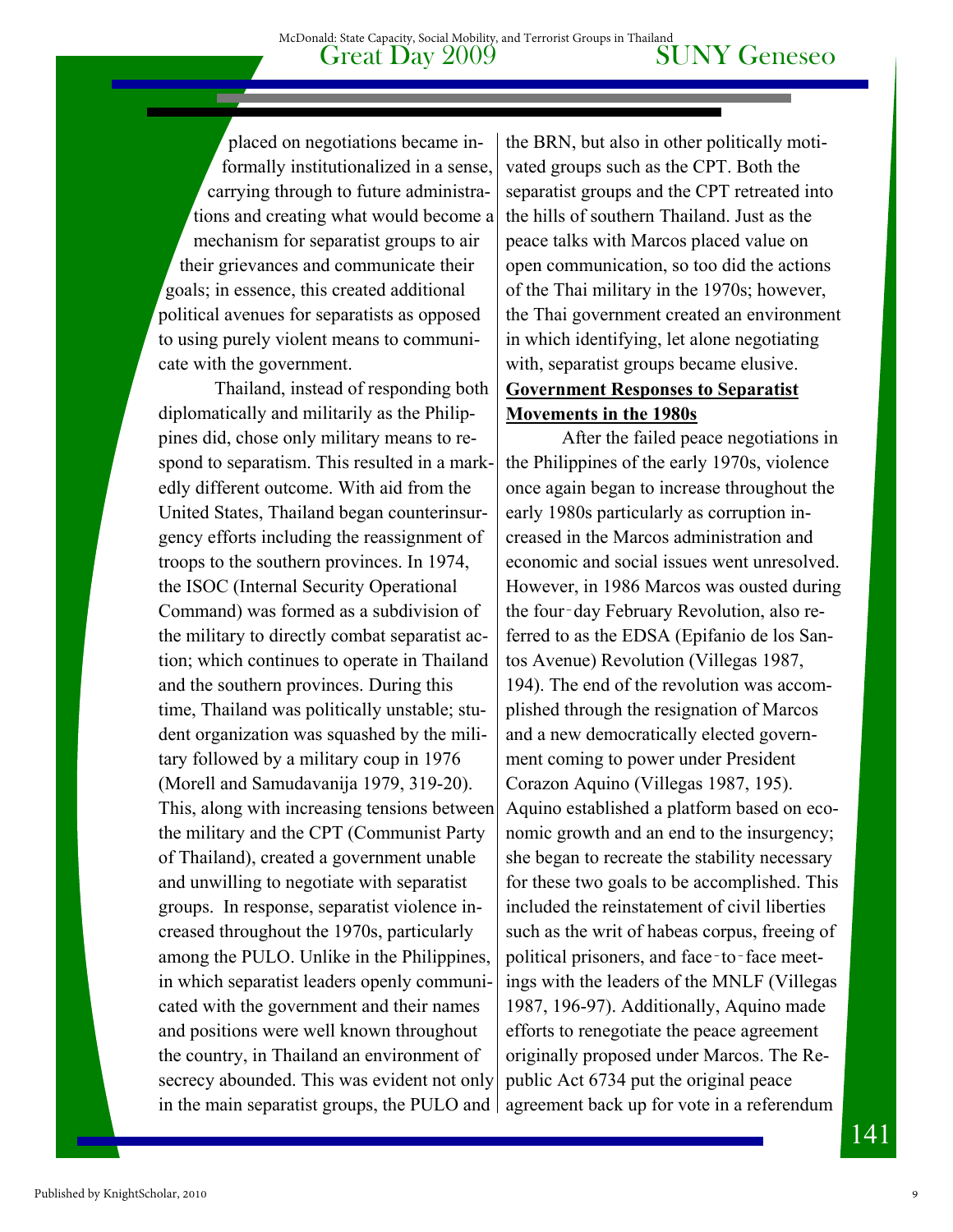placed on negotiations became informally institutionalized in a sense, carrying through to future administrations and creating what would become a mechanism for separatist groups to air their grievances and communicate their goals; in essence, this created additional political avenues for separatists as opposed to using purely violent means to communicate with the government.

Thailand, instead of responding both diplomatically and militarily as the Philippines did, chose only military means to respond to separatism. This resulted in a markedly different outcome. With aid from the United States, Thailand began counterinsurgency efforts including the reassignment of troops to the southern provinces. In 1974, the ISOC (Internal Security Operational Command) was formed as a subdivision of the military to directly combat separatist action; which continues to operate in Thailand and the southern provinces. During this time, Thailand was politically unstable; student organization was squashed by the military followed by a military coup in 1976 (Morell and Samudavanija 1979, 319-20). This, along with increasing tensions between the military and the CPT (Communist Party of Thailand), created a government unable and unwilling to negotiate with separatist groups. In response, separatist violence increased throughout the 1970s, particularly among the PULO. Unlike in the Philippines, in which separatist leaders openly communicated with the government and their names and positions were well known throughout the country, in Thailand an environment of secrecy abounded. This was evident not only in the main separatist groups, the PULO and

the BRN, but also in other politically motivated groups such as the CPT. Both the separatist groups and the CPT retreated into the hills of southern Thailand. Just as the peace talks with Marcos placed value on open communication, so too did the actions of the Thai military in the 1970s; however, the Thai government created an environment in which identifying, let alone negotiating with, separatist groups became elusive. **Government Responses to Separatist Movements in the 1980s**

After the failed peace negotiations in the Philippines of the early 1970s, violence once again began to increase throughout the early 1980s particularly as corruption increased in the Marcos administration and economic and social issues went unresolved. However, in 1986 Marcos was ousted during the four‑day February Revolution, also referred to as the EDSA (Epifanio de los Santos Avenue) Revolution (Villegas 1987, 194). The end of the revolution was accomplished through the resignation of Marcos and a new democratically elected government coming to power under President Corazon Aquino (Villegas 1987, 195). Aquino established a platform based on economic growth and an end to the insurgency; she began to recreate the stability necessary for these two goals to be accomplished. This included the reinstatement of civil liberties such as the writ of habeas corpus, freeing of political prisoners, and face–to–face meetings with the leaders of the MNLF (Villegas 1987, 196-97). Additionally, Aquino made efforts to renegotiate the peace agreement originally proposed under Marcos. The Republic Act 6734 put the original peace agreement back up for vote in a referendum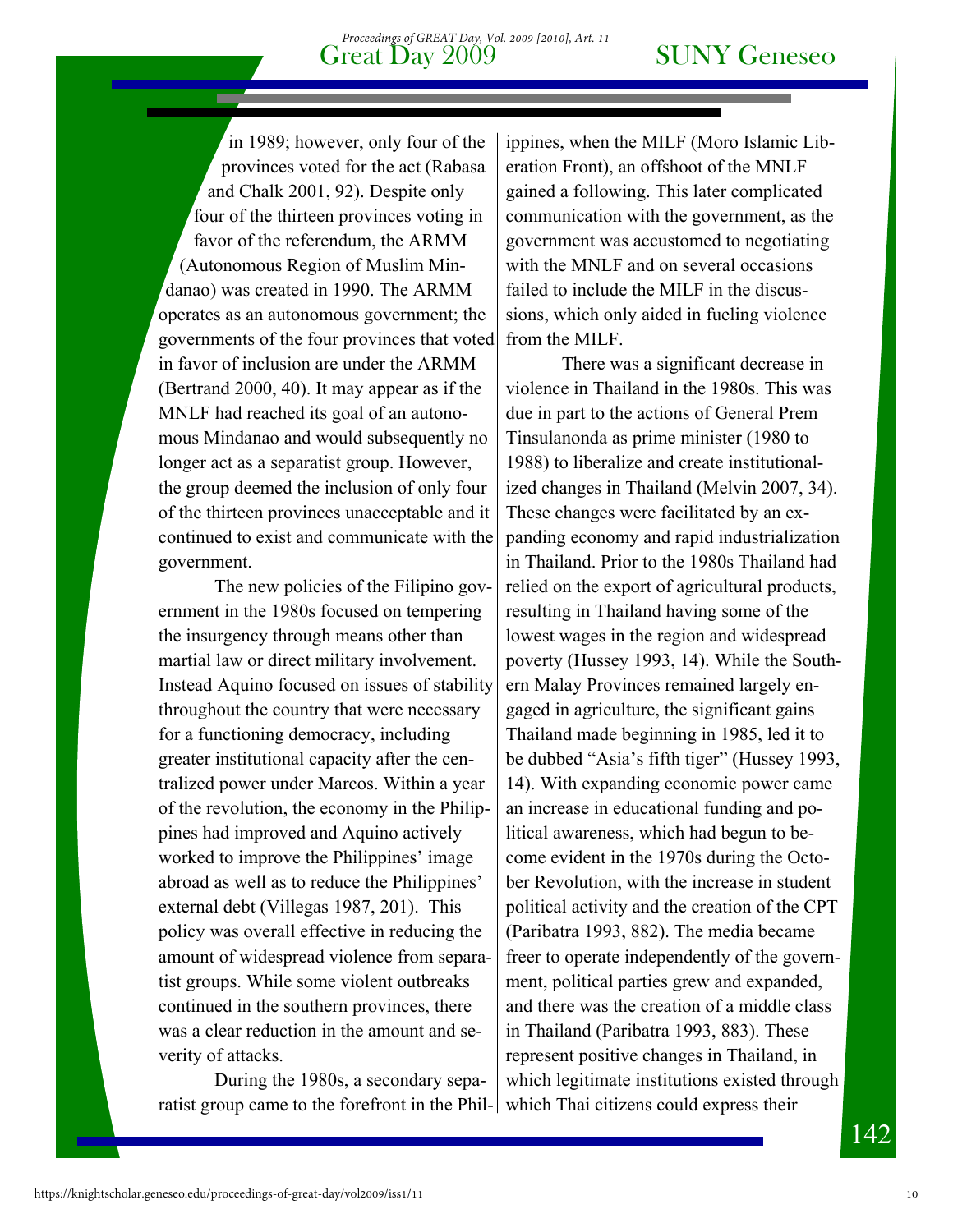Great Day 2009 *Proceedings of GREAT Day, Vol. 2009 [2010], Art. 11*

in 1989; however, only four of the provinces voted for the act (Rabasa and Chalk 2001, 92). Despite only four of the thirteen provinces voting in favor of the referendum, the ARMM (Autonomous Region of Muslim Mindanao) was created in 1990. The ARMM operates as an autonomous government; the governments of the four provinces that voted in favor of inclusion are under the ARMM (Bertrand 2000, 40). It may appear as if the MNLF had reached its goal of an autonomous Mindanao and would subsequently no longer act as a separatist group. However, the group deemed the inclusion of only four of the thirteen provinces unacceptable and it continued to exist and communicate with the government.

The new policies of the Filipino government in the 1980s focused on tempering the insurgency through means other than martial law or direct military involvement. Instead Aquino focused on issues of stability throughout the country that were necessary for a functioning democracy, including greater institutional capacity after the centralized power under Marcos. Within a year of the revolution, the economy in the Philippines had improved and Aquino actively worked to improve the Philippines' image abroad as well as to reduce the Philippines' external debt (Villegas 1987, 201). This policy was overall effective in reducing the amount of widespread violence from separatist groups. While some violent outbreaks continued in the southern provinces, there was a clear reduction in the amount and severity of attacks.

During the 1980s, a secondary separatist group came to the forefront in the Phil-

ippines, when the MILF (Moro Islamic Liberation Front), an offshoot of the MNLF gained a following. This later complicated communication with the government, as the government was accustomed to negotiating with the MNLF and on several occasions failed to include the MILF in the discussions, which only aided in fueling violence from the MILF.

There was a significant decrease in violence in Thailand in the 1980s. This was due in part to the actions of General Prem Tinsulanonda as prime minister (1980 to 1988) to liberalize and create institutionalized changes in Thailand (Melvin 2007, 34). These changes were facilitated by an expanding economy and rapid industrialization in Thailand. Prior to the 1980s Thailand had relied on the export of agricultural products, resulting in Thailand having some of the lowest wages in the region and widespread poverty (Hussey 1993, 14). While the Southern Malay Provinces remained largely engaged in agriculture, the significant gains Thailand made beginning in 1985, led it to be dubbed "Asia's fifth tiger" (Hussey 1993, 14). With expanding economic power came an increase in educational funding and political awareness, which had begun to become evident in the 1970s during the October Revolution, with the increase in student political activity and the creation of the CPT (Paribatra 1993, 882). The media became freer to operate independently of the government, political parties grew and expanded, and there was the creation of a middle class in Thailand (Paribatra 1993, 883). These represent positive changes in Thailand, in which legitimate institutions existed through which Thai citizens could express their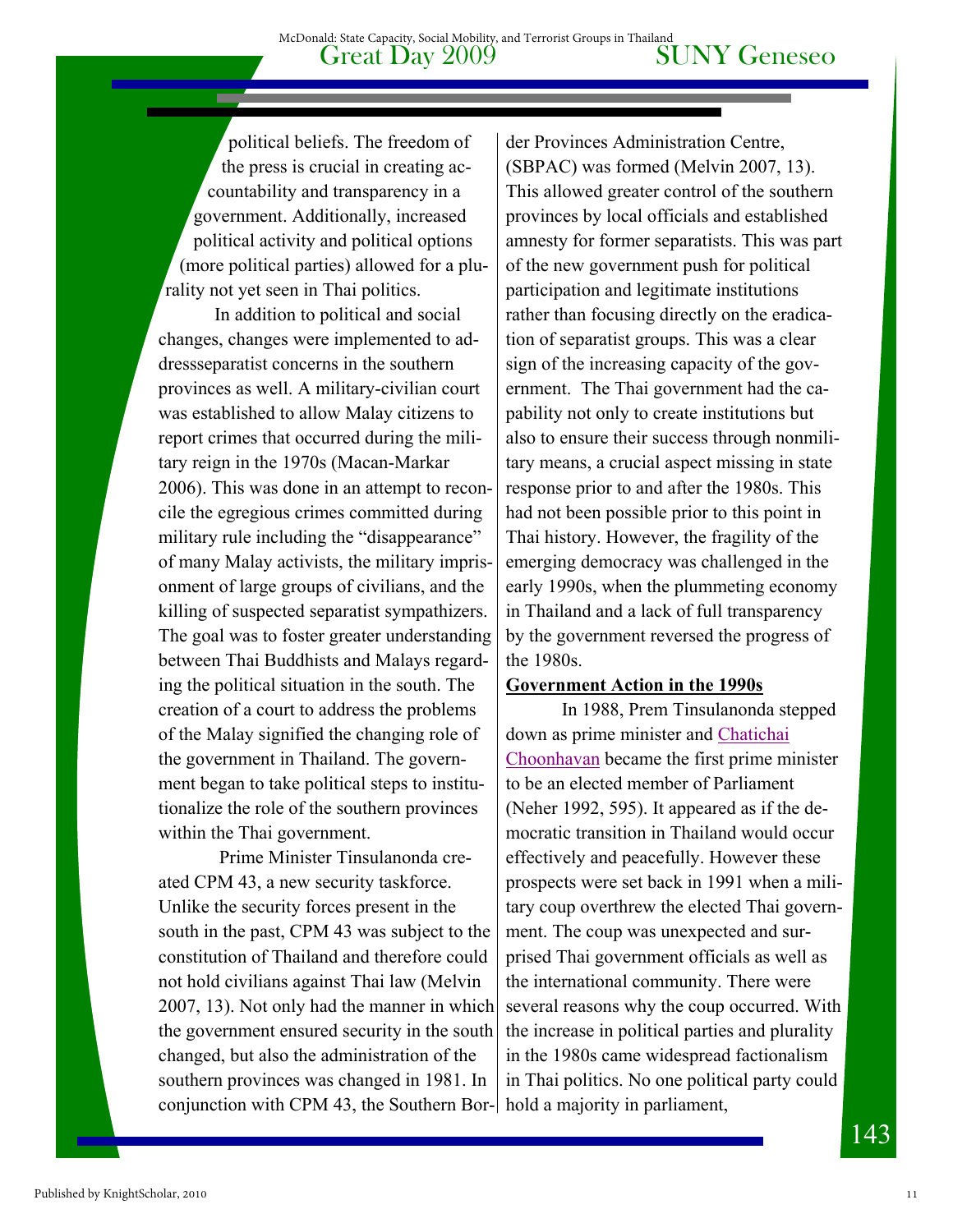political beliefs. The freedom of the press is crucial in creating accountability and transparency in a government. Additionally, increased political activity and political options (more political parties) allowed for a plurality not yet seen in Thai politics.

 In addition to political and social changes, changes were implemented to addressseparatist concerns in the southern provinces as well. A military-civilian court was established to allow Malay citizens to report crimes that occurred during the military reign in the 1970s (Macan-Markar 2006). This was done in an attempt to reconcile the egregious crimes committed during military rule including the "disappearance" of many Malay activists, the military imprisonment of large groups of civilians, and the killing of suspected separatist sympathizers. The goal was to foster greater understanding between Thai Buddhists and Malays regarding the political situation in the south. The creation of a court to address the problems of the Malay signified the changing role of the government in Thailand. The government began to take political steps to institutionalize the role of the southern provinces within the Thai government.

 Prime Minister Tinsulanonda created CPM 43, a new security taskforce. Unlike the security forces present in the south in the past, CPM 43 was subject to the constitution of Thailand and therefore could not hold civilians against Thai law (Melvin 2007, 13). Not only had the manner in which the government ensured security in the south changed, but also the administration of the southern provinces was changed in 1981. In conjunction with CPM 43, the Southern Bor-hold a majority in parliament,

der Provinces Administration Centre, (SBPAC) was formed (Melvin 2007, 13). This allowed greater control of the southern provinces by local officials and established amnesty for former separatists. This was part of the new government push for political participation and legitimate institutions rather than focusing directly on the eradication of separatist groups. This was a clear sign of the increasing capacity of the government. The Thai government had the capability not only to create institutions but also to ensure their success through nonmilitary means, a crucial aspect missing in state response prior to and after the 1980s. This had not been possible prior to this point in Thai history. However, the fragility of the emerging democracy was challenged in the early 1990s, when the plummeting economy in Thailand and a lack of full transparency by the government reversed the progress of the 1980s.

#### **Government Action in the 1990s**

 In 1988, Prem Tinsulanonda stepped down as prime minister and Chatichai Choonhavan became the first prime minister to be an elected member of Parliament (Neher 1992, 595). It appeared as if the democratic transition in Thailand would occur effectively and peacefully. However these prospects were set back in 1991 when a military coup overthrew the elected Thai government. The coup was unexpected and surprised Thai government officials as well as the international community. There were several reasons why the coup occurred. With the increase in political parties and plurality in the 1980s came widespread factionalism in Thai politics. No one political party could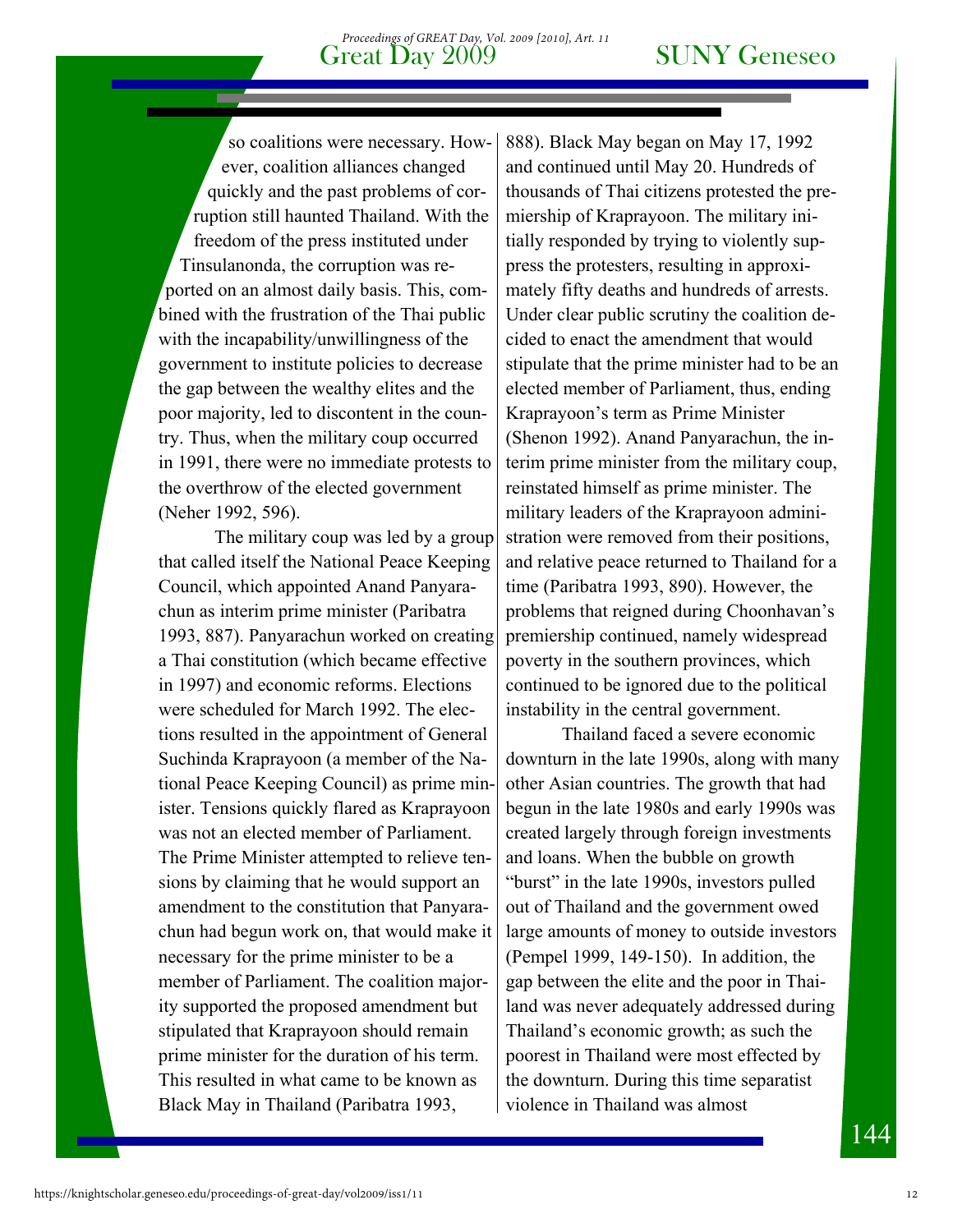so coalitions were necessary. However, coalition alliances changed quickly and the past problems of corruption still haunted Thailand. With the freedom of the press instituted under Tinsulanonda, the corruption was reported on an almost daily basis. This, combined with the frustration of the Thai public with the incapability/unwillingness of the government to institute policies to decrease the gap between the wealthy elites and the poor majority, led to discontent in the country. Thus, when the military coup occurred in 1991, there were no immediate protests to the overthrow of the elected government (Neher 1992, 596).

The military coup was led by a group that called itself the National Peace Keeping Council, which appointed Anand Panyarachun as interim prime minister (Paribatra 1993, 887). Panyarachun worked on creating a Thai constitution (which became effective in 1997) and economic reforms. Elections were scheduled for March 1992. The elections resulted in the appointment of General Suchinda Kraprayoon (a member of the National Peace Keeping Council) as prime minister. Tensions quickly flared as Kraprayoon was not an elected member of Parliament. The Prime Minister attempted to relieve tensions by claiming that he would support an amendment to the constitution that Panyarachun had begun work on, that would make it necessary for the prime minister to be a member of Parliament. The coalition majority supported the proposed amendment but stipulated that Kraprayoon should remain prime minister for the duration of his term. This resulted in what came to be known as Black May in Thailand (Paribatra 1993,

888). Black May began on May 17, 1992 and continued until May 20. Hundreds of thousands of Thai citizens protested the premiership of Kraprayoon. The military initially responded by trying to violently suppress the protesters, resulting in approximately fifty deaths and hundreds of arrests. Under clear public scrutiny the coalition decided to enact the amendment that would stipulate that the prime minister had to be an elected member of Parliament, thus, ending Kraprayoon's term as Prime Minister (Shenon 1992). Anand Panyarachun, the interim prime minister from the military coup, reinstated himself as prime minister. The military leaders of the Kraprayoon administration were removed from their positions, and relative peace returned to Thailand for a time (Paribatra 1993, 890). However, the problems that reigned during Choonhavan's premiership continued, namely widespread poverty in the southern provinces, which continued to be ignored due to the political instability in the central government.

Thailand faced a severe economic downturn in the late 1990s, along with many other Asian countries. The growth that had begun in the late 1980s and early 1990s was created largely through foreign investments and loans. When the bubble on growth "burst" in the late 1990s, investors pulled out of Thailand and the government owed large amounts of money to outside investors (Pempel 1999, 149-150). In addition, the gap between the elite and the poor in Thailand was never adequately addressed during Thailand's economic growth; as such the poorest in Thailand were most effected by the downturn. During this time separatist violence in Thailand was almost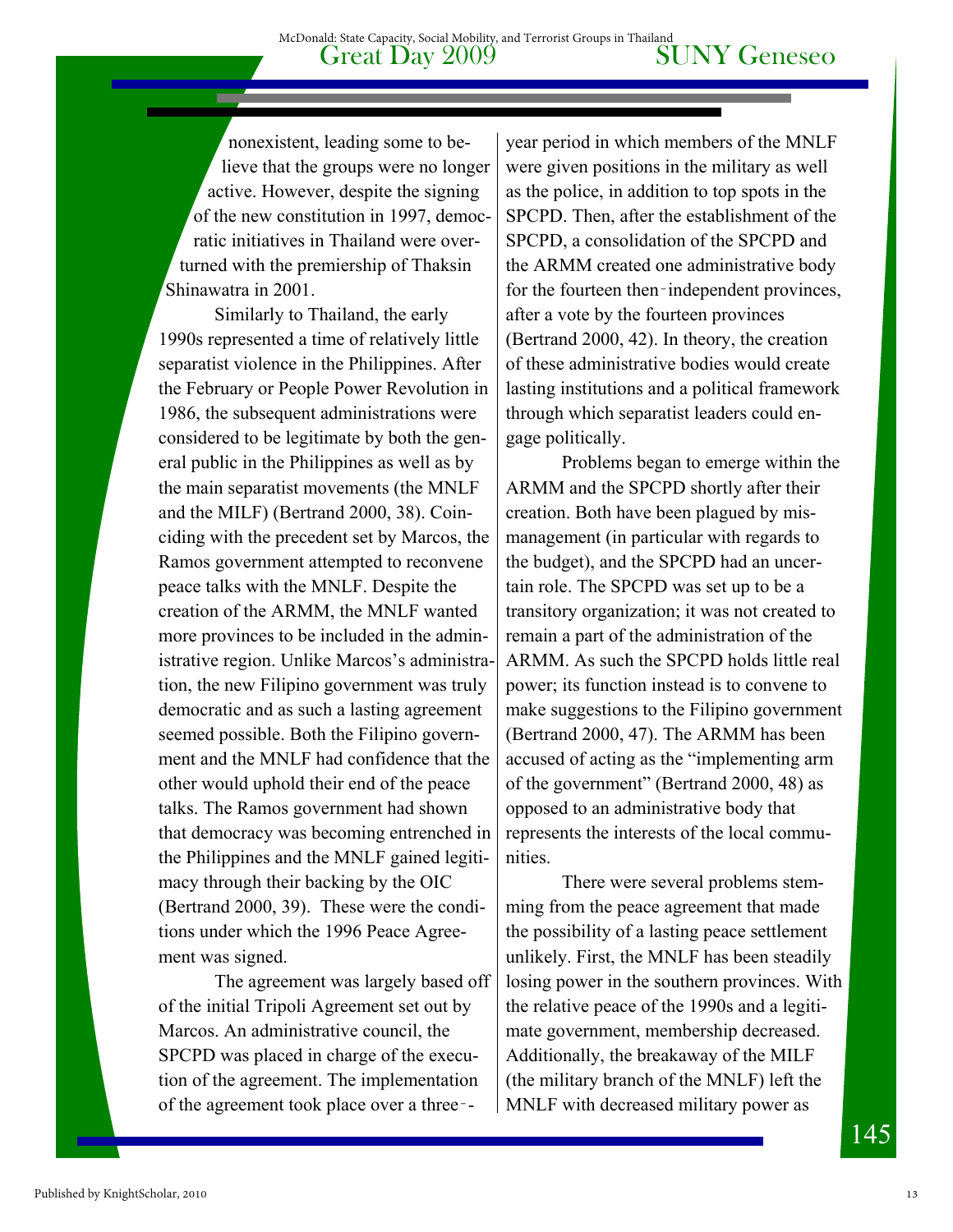nonexistent, leading some to believe that the groups were no longer active. However, despite the signing of the new constitution in 1997, democratic initiatives in Thailand were overturned with the premiership of Thaksin Shinawatra in 2001.

Similarly to Thailand, the early 1990s represented a time of relatively little separatist violence in the Philippines. After the February or People Power Revolution in 1986, the subsequent administrations were considered to be legitimate by both the general public in the Philippines as well as by the main separatist movements (the MNLF and the MILF) (Bertrand 2000, 38). Coinciding with the precedent set by Marcos, the Ramos government attempted to reconvene peace talks with the MNLF. Despite the creation of the ARMM, the MNLF wanted more provinces to be included in the administrative region. Unlike Marcos's administration, the new Filipino government was truly democratic and as such a lasting agreement seemed possible. Both the Filipino government and the MNLF had confidence that the other would uphold their end of the peace talks. The Ramos government had shown that democracy was becoming entrenched in the Philippines and the MNLF gained legitimacy through their backing by the OIC (Bertrand 2000, 39). These were the conditions under which the 1996 Peace Agreement was signed.

The agreement was largely based off of the initial Tripoli Agreement set out by Marcos. An administrative council, the SPCPD was placed in charge of the execution of the agreement. The implementation of the agreement took place over a three‑-

year period in which members of the MNLF were given positions in the military as well as the police, in addition to top spots in the SPCPD. Then, after the establishment of the SPCPD, a consolidation of the SPCPD and the ARMM created one administrative body for the fourteen then–independent provinces, after a vote by the fourteen provinces (Bertrand 2000, 42). In theory, the creation of these administrative bodies would create lasting institutions and a political framework through which separatist leaders could engage politically.

Problems began to emerge within the ARMM and the SPCPD shortly after their creation. Both have been plagued by mismanagement (in particular with regards to the budget), and the SPCPD had an uncertain role. The SPCPD was set up to be a transitory organization; it was not created to remain a part of the administration of the ARMM. As such the SPCPD holds little real power; its function instead is to convene to make suggestions to the Filipino government (Bertrand 2000, 47). The ARMM has been accused of acting as the "implementing arm of the government" (Bertrand 2000, 48) as opposed to an administrative body that represents the interests of the local communities.

There were several problems stemming from the peace agreement that made the possibility of a lasting peace settlement unlikely. First, the MNLF has been steadily losing power in the southern provinces. With the relative peace of the 1990s and a legitimate government, membership decreased. Additionally, the breakaway of the MILF (the military branch of the MNLF) left the MNLF with decreased military power as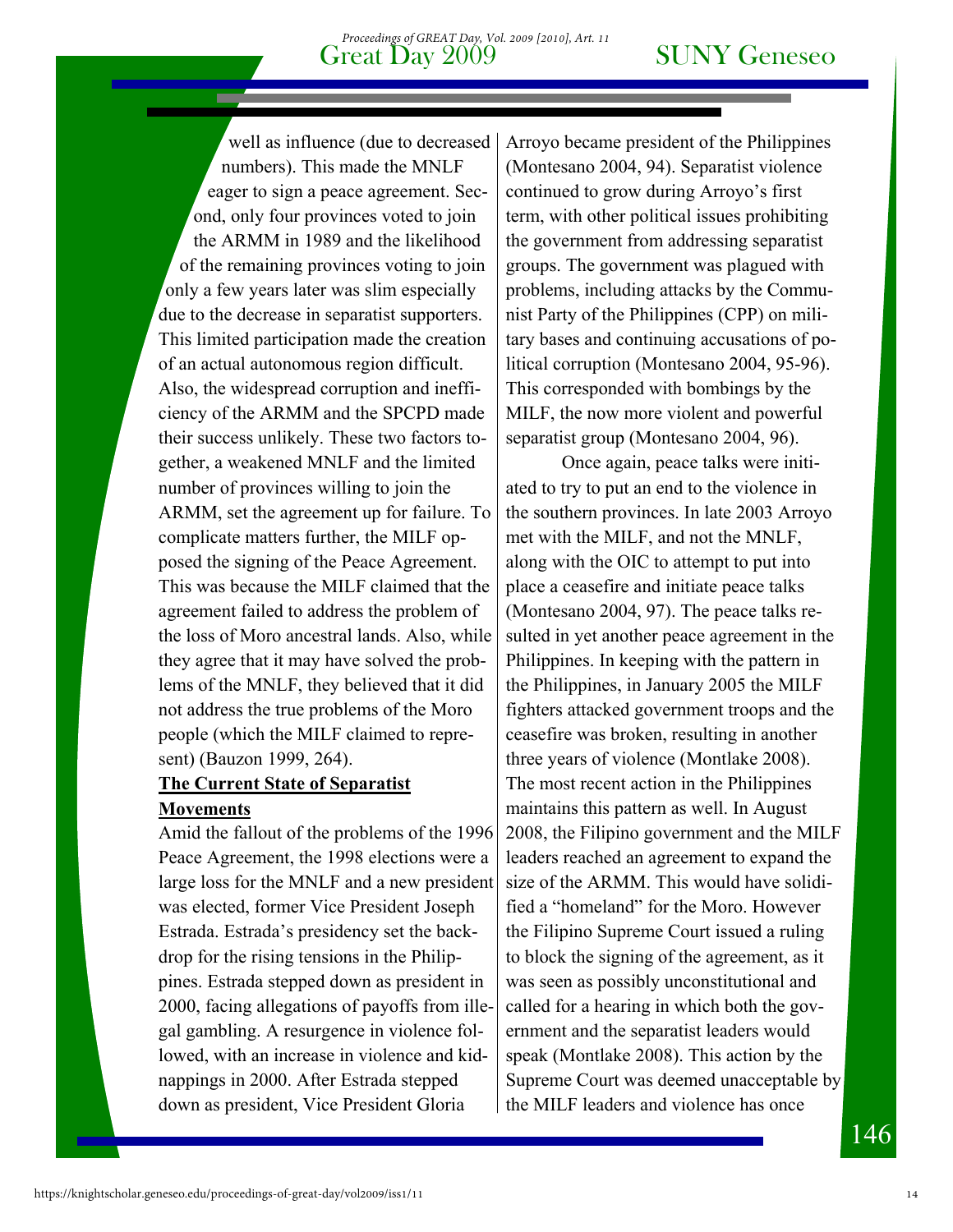well as influence (due to decreased numbers). This made the MNLF eager to sign a peace agreement. Second, only four provinces voted to join the ARMM in 1989 and the likelihood of the remaining provinces voting to join only a few years later was slim especially due to the decrease in separatist supporters. This limited participation made the creation of an actual autonomous region difficult. Also, the widespread corruption and inefficiency of the ARMM and the SPCPD made their success unlikely. These two factors together, a weakened MNLF and the limited number of provinces willing to join the ARMM, set the agreement up for failure. To complicate matters further, the MILF opposed the signing of the Peace Agreement. This was because the MILF claimed that the agreement failed to address the problem of the loss of Moro ancestral lands. Also, while they agree that it may have solved the problems of the MNLF, they believed that it did not address the true problems of the Moro people (which the MILF claimed to represent) (Bauzon 1999, 264).

#### **The Current State of Separatist Movements**

Amid the fallout of the problems of the 1996 Peace Agreement, the 1998 elections were a large loss for the MNLF and a new president was elected, former Vice President Joseph Estrada. Estrada's presidency set the backdrop for the rising tensions in the Philippines. Estrada stepped down as president in 2000, facing allegations of payoffs from illegal gambling. A resurgence in violence followed, with an increase in violence and kidnappings in 2000. After Estrada stepped down as president, Vice President Gloria

Arroyo became president of the Philippines (Montesano 2004, 94). Separatist violence continued to grow during Arroyo's first term, with other political issues prohibiting the government from addressing separatist groups. The government was plagued with problems, including attacks by the Communist Party of the Philippines (CPP) on military bases and continuing accusations of political corruption (Montesano 2004, 95-96). This corresponded with bombings by the MILF, the now more violent and powerful separatist group (Montesano 2004, 96).

 Once again, peace talks were initiated to try to put an end to the violence in the southern provinces. In late 2003 Arroyo met with the MILF, and not the MNLF, along with the OIC to attempt to put into place a ceasefire and initiate peace talks (Montesano 2004, 97). The peace talks resulted in yet another peace agreement in the Philippines. In keeping with the pattern in the Philippines, in January 2005 the MILF fighters attacked government troops and the ceasefire was broken, resulting in another three years of violence (Montlake 2008). The most recent action in the Philippines maintains this pattern as well. In August 2008, the Filipino government and the MILF leaders reached an agreement to expand the size of the ARMM. This would have solidified a "homeland" for the Moro. However the Filipino Supreme Court issued a ruling to block the signing of the agreement, as it was seen as possibly unconstitutional and called for a hearing in which both the government and the separatist leaders would speak (Montlake 2008). This action by the Supreme Court was deemed unacceptable by the MILF leaders and violence has once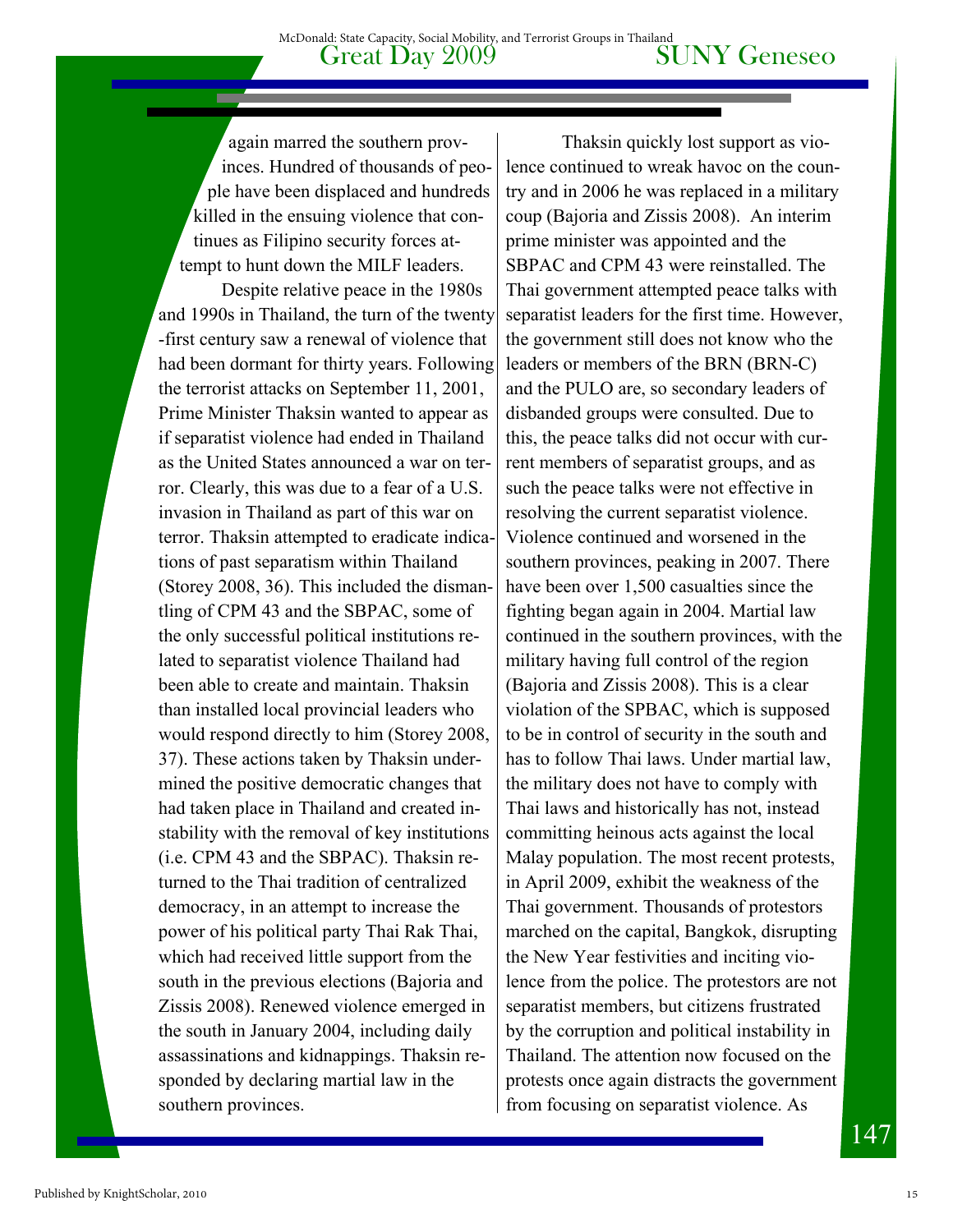again marred the southern provinces. Hundred of thousands of people have been displaced and hundreds killed in the ensuing violence that continues as Filipino security forces attempt to hunt down the MILF leaders.

 Despite relative peace in the 1980s and 1990s in Thailand, the turn of the twenty -first century saw a renewal of violence that had been dormant for thirty years. Following the terrorist attacks on September 11, 2001, Prime Minister Thaksin wanted to appear as if separatist violence had ended in Thailand as the United States announced a war on terror. Clearly, this was due to a fear of a U.S. invasion in Thailand as part of this war on terror. Thaksin attempted to eradicate indications of past separatism within Thailand (Storey 2008, 36). This included the dismantling of CPM 43 and the SBPAC, some of the only successful political institutions related to separatist violence Thailand had been able to create and maintain. Thaksin than installed local provincial leaders who would respond directly to him (Storey 2008, 37). These actions taken by Thaksin undermined the positive democratic changes that had taken place in Thailand and created instability with the removal of key institutions (i.e. CPM 43 and the SBPAC). Thaksin returned to the Thai tradition of centralized democracy, in an attempt to increase the power of his political party Thai Rak Thai, which had received little support from the south in the previous elections (Bajoria and Zissis 2008). Renewed violence emerged in the south in January 2004, including daily assassinations and kidnappings. Thaksin responded by declaring martial law in the southern provinces.

Thaksin quickly lost support as violence continued to wreak havoc on the country and in 2006 he was replaced in a military coup (Bajoria and Zissis 2008). An interim prime minister was appointed and the SBPAC and CPM 43 were reinstalled. The Thai government attempted peace talks with separatist leaders for the first time. However, the government still does not know who the leaders or members of the BRN (BRN-C) and the PULO are, so secondary leaders of disbanded groups were consulted. Due to this, the peace talks did not occur with current members of separatist groups, and as such the peace talks were not effective in resolving the current separatist violence. Violence continued and worsened in the southern provinces, peaking in 2007. There have been over 1,500 casualties since the fighting began again in 2004. Martial law continued in the southern provinces, with the military having full control of the region (Bajoria and Zissis 2008). This is a clear violation of the SPBAC, which is supposed to be in control of security in the south and has to follow Thai laws. Under martial law, the military does not have to comply with Thai laws and historically has not, instead committing heinous acts against the local Malay population. The most recent protests, in April 2009, exhibit the weakness of the Thai government. Thousands of protestors marched on the capital, Bangkok, disrupting the New Year festivities and inciting violence from the police. The protestors are not separatist members, but citizens frustrated by the corruption and political instability in Thailand. The attention now focused on the protests once again distracts the government from focusing on separatist violence. As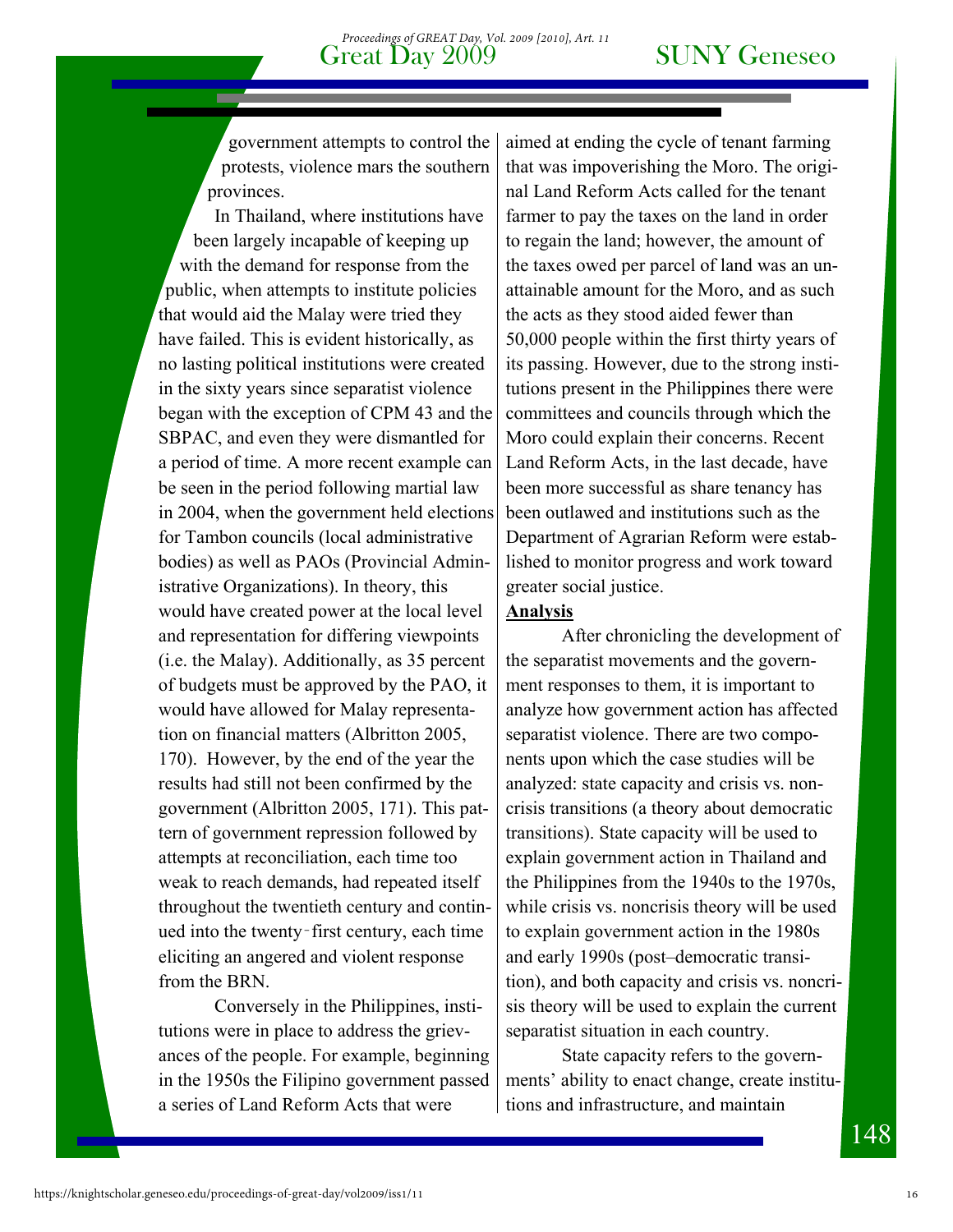government attempts to control the protests, violence mars the southern provinces.

In Thailand, where institutions have been largely incapable of keeping up with the demand for response from the public, when attempts to institute policies that would aid the Malay were tried they have failed. This is evident historically, as no lasting political institutions were created in the sixty years since separatist violence began with the exception of CPM 43 and the SBPAC, and even they were dismantled for a period of time. A more recent example can be seen in the period following martial law in 2004, when the government held elections for Tambon councils (local administrative bodies) as well as PAOs (Provincial Administrative Organizations). In theory, this would have created power at the local level and representation for differing viewpoints (i.e. the Malay). Additionally, as 35 percent of budgets must be approved by the PAO, it would have allowed for Malay representation on financial matters (Albritton 2005, 170). However, by the end of the year the results had still not been confirmed by the government (Albritton 2005, 171). This pattern of government repression followed by attempts at reconciliation, each time too weak to reach demands, had repeated itself throughout the twentieth century and continued into the twenty‑first century, each time eliciting an angered and violent response from the BRN.

Conversely in the Philippines, institutions were in place to address the grievances of the people. For example, beginning in the 1950s the Filipino government passed a series of Land Reform Acts that were

aimed at ending the cycle of tenant farming that was impoverishing the Moro. The original Land Reform Acts called for the tenant farmer to pay the taxes on the land in order to regain the land; however, the amount of the taxes owed per parcel of land was an unattainable amount for the Moro, and as such the acts as they stood aided fewer than 50,000 people within the first thirty years of its passing. However, due to the strong institutions present in the Philippines there were committees and councils through which the Moro could explain their concerns. Recent Land Reform Acts, in the last decade, have been more successful as share tenancy has been outlawed and institutions such as the Department of Agrarian Reform were established to monitor progress and work toward greater social justice.

#### **Analysis**

 After chronicling the development of the separatist movements and the government responses to them, it is important to analyze how government action has affected separatist violence. There are two components upon which the case studies will be analyzed: state capacity and crisis vs. noncrisis transitions (a theory about democratic transitions). State capacity will be used to explain government action in Thailand and the Philippines from the 1940s to the 1970s, while crisis vs. noncrisis theory will be used to explain government action in the 1980s and early 1990s (post–democratic transition), and both capacity and crisis vs. noncrisis theory will be used to explain the current separatist situation in each country.

State capacity refers to the governments' ability to enact change, create institutions and infrastructure, and maintain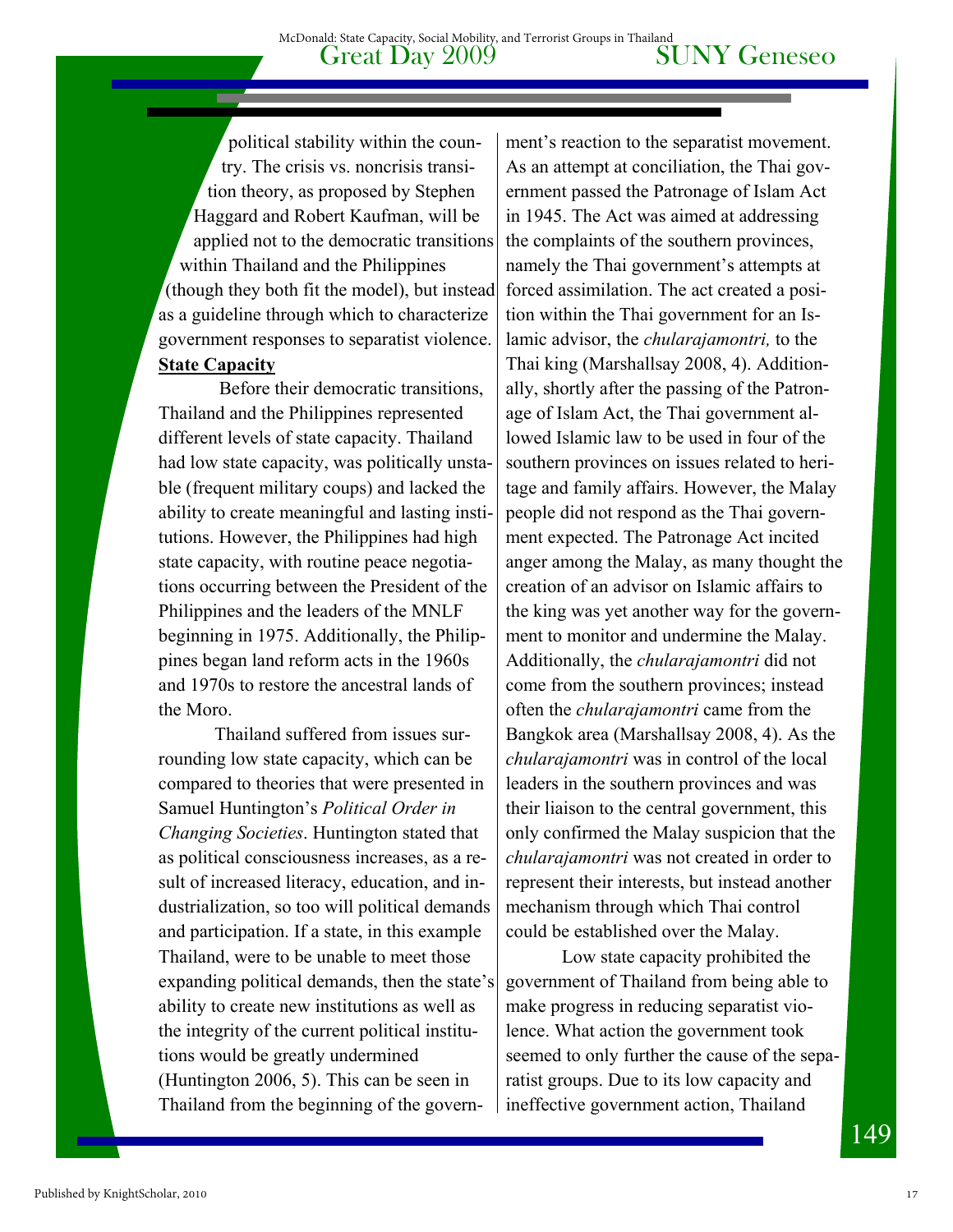political stability within the country. The crisis vs. noncrisis transition theory, as proposed by Stephen Haggard and Robert Kaufman, will be applied not to the democratic transitions within Thailand and the Philippines (though they both fit the model), but instead as a guideline through which to characterize government responses to separatist violence. **State Capacity** 

 Before their democratic transitions, Thailand and the Philippines represented different levels of state capacity. Thailand had low state capacity, was politically unstable (frequent military coups) and lacked the ability to create meaningful and lasting institutions. However, the Philippines had high state capacity, with routine peace negotiations occurring between the President of the Philippines and the leaders of the MNLF beginning in 1975. Additionally, the Philippines began land reform acts in the 1960s and 1970s to restore the ancestral lands of the Moro.

Thailand suffered from issues surrounding low state capacity, which can be compared to theories that were presented in Samuel Huntington's *Political Order in Changing Societies*. Huntington stated that as political consciousness increases, as a result of increased literacy, education, and industrialization, so too will political demands and participation. If a state, in this example Thailand, were to be unable to meet those expanding political demands, then the state's ability to create new institutions as well as the integrity of the current political institutions would be greatly undermined (Huntington 2006, 5). This can be seen in Thailand from the beginning of the govern-

ment's reaction to the separatist movement. As an attempt at conciliation, the Thai government passed the Patronage of Islam Act in 1945. The Act was aimed at addressing the complaints of the southern provinces, namely the Thai government's attempts at forced assimilation. The act created a position within the Thai government for an Islamic advisor, the *chularajamontri,* to the Thai king (Marshallsay 2008, 4). Additionally, shortly after the passing of the Patronage of Islam Act, the Thai government allowed Islamic law to be used in four of the southern provinces on issues related to heritage and family affairs. However, the Malay people did not respond as the Thai government expected. The Patronage Act incited anger among the Malay, as many thought the creation of an advisor on Islamic affairs to the king was yet another way for the government to monitor and undermine the Malay. Additionally, the *chularajamontri* did not come from the southern provinces; instead often the *chularajamontri* came from the Bangkok area (Marshallsay 2008, 4). As the *chularajamontri* was in control of the local leaders in the southern provinces and was their liaison to the central government, this only confirmed the Malay suspicion that the *chularajamontri* was not created in order to represent their interests, but instead another mechanism through which Thai control could be established over the Malay.

Low state capacity prohibited the government of Thailand from being able to make progress in reducing separatist violence. What action the government took seemed to only further the cause of the separatist groups. Due to its low capacity and ineffective government action, Thailand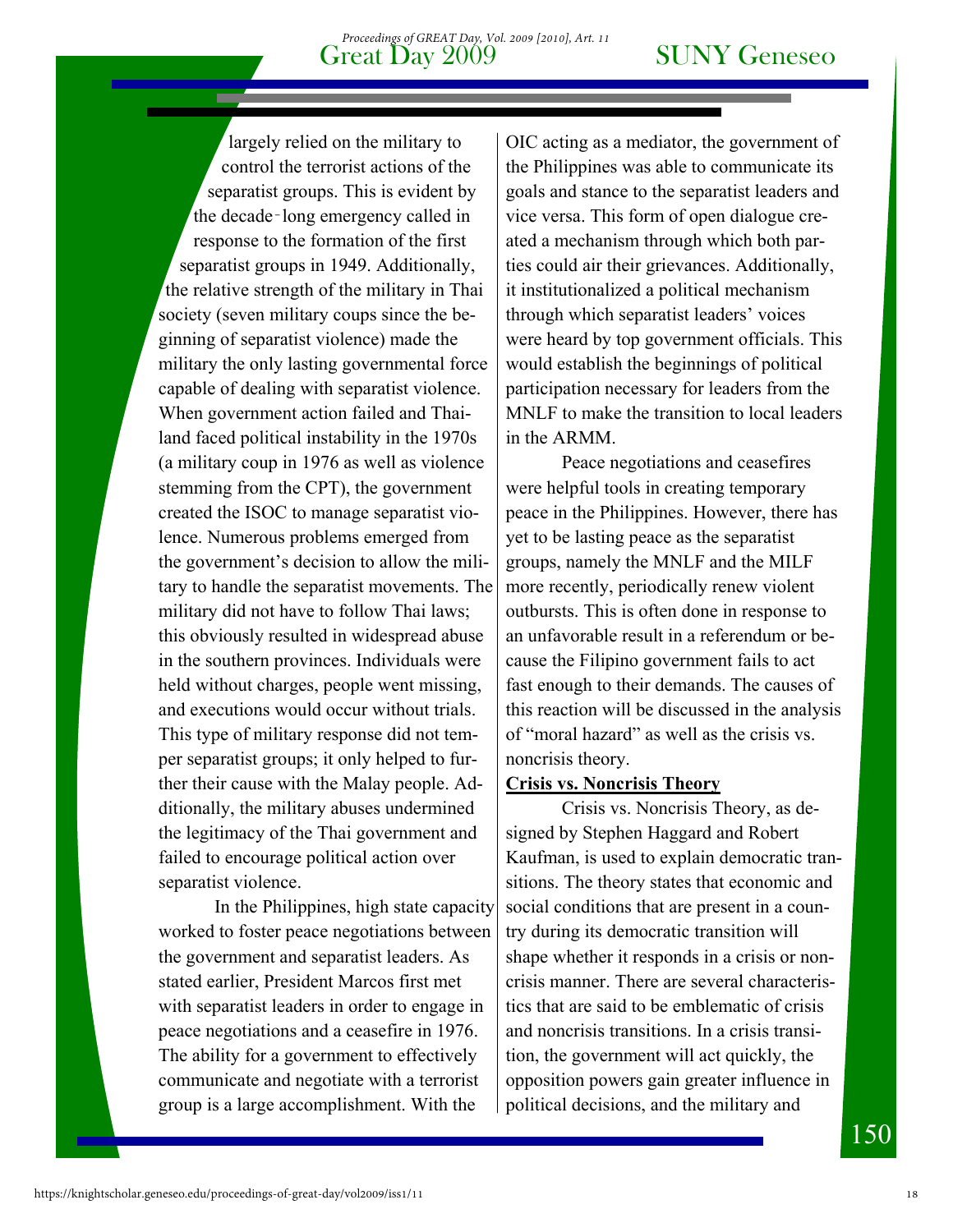#### Great Day 2009 SUNY Geneseo *Proceedings of GREAT Day, Vol. 2009 [2010], Art. 11*

largely relied on the military to control the terrorist actions of the separatist groups. This is evident by the decade‑long emergency called in response to the formation of the first separatist groups in 1949. Additionally, the relative strength of the military in Thai society (seven military coups since the beginning of separatist violence) made the military the only lasting governmental force capable of dealing with separatist violence. When government action failed and Thailand faced political instability in the 1970s (a military coup in 1976 as well as violence stemming from the CPT), the government created the ISOC to manage separatist violence. Numerous problems emerged from the government's decision to allow the military to handle the separatist movements. The military did not have to follow Thai laws; this obviously resulted in widespread abuse in the southern provinces. Individuals were held without charges, people went missing, and executions would occur without trials. This type of military response did not temper separatist groups; it only helped to further their cause with the Malay people. Additionally, the military abuses undermined the legitimacy of the Thai government and failed to encourage political action over separatist violence.

In the Philippines, high state capacity worked to foster peace negotiations between the government and separatist leaders. As stated earlier, President Marcos first met with separatist leaders in order to engage in peace negotiations and a ceasefire in 1976. The ability for a government to effectively communicate and negotiate with a terrorist group is a large accomplishment. With the

OIC acting as a mediator, the government of the Philippines was able to communicate its goals and stance to the separatist leaders and vice versa. This form of open dialogue created a mechanism through which both parties could air their grievances. Additionally, it institutionalized a political mechanism through which separatist leaders' voices were heard by top government officials. This would establish the beginnings of political participation necessary for leaders from the MNLF to make the transition to local leaders in the ARMM.

Peace negotiations and ceasefires were helpful tools in creating temporary peace in the Philippines. However, there has yet to be lasting peace as the separatist groups, namely the MNLF and the MILF more recently, periodically renew violent outbursts. This is often done in response to an unfavorable result in a referendum or because the Filipino government fails to act fast enough to their demands. The causes of this reaction will be discussed in the analysis of "moral hazard" as well as the crisis vs. noncrisis theory.

#### **Crisis vs. Noncrisis Theory**

Crisis vs. Noncrisis Theory, as designed by Stephen Haggard and Robert Kaufman, is used to explain democratic transitions. The theory states that economic and social conditions that are present in a country during its democratic transition will shape whether it responds in a crisis or noncrisis manner. There are several characteristics that are said to be emblematic of crisis and noncrisis transitions. In a crisis transition, the government will act quickly, the opposition powers gain greater influence in political decisions, and the military and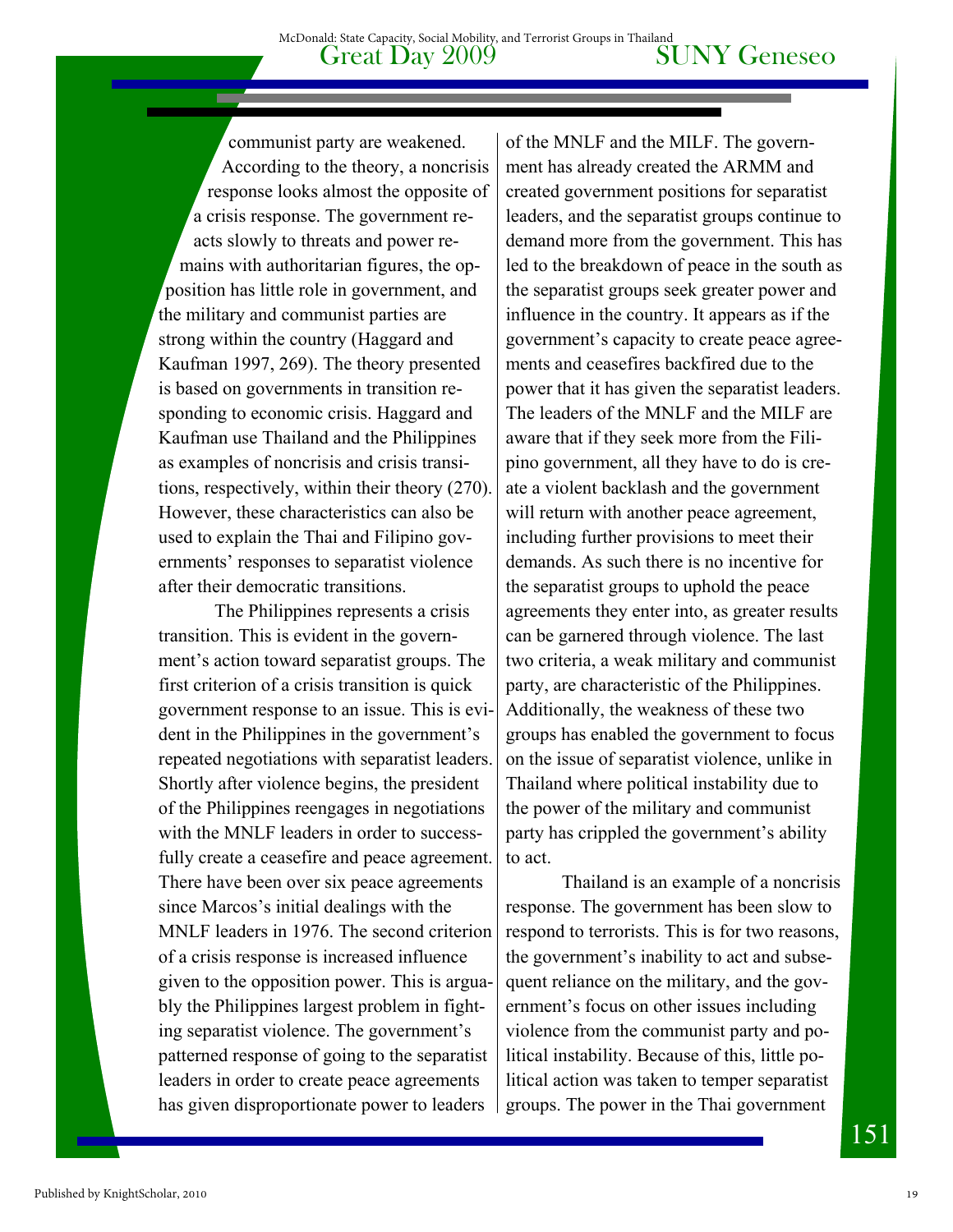communist party are weakened. According to the theory, a noncrisis response looks almost the opposite of a crisis response. The government reacts slowly to threats and power remains with authoritarian figures, the opposition has little role in government, and the military and communist parties are strong within the country (Haggard and Kaufman 1997, 269). The theory presented is based on governments in transition responding to economic crisis. Haggard and Kaufman use Thailand and the Philippines as examples of noncrisis and crisis transitions, respectively, within their theory (270). However, these characteristics can also be used to explain the Thai and Filipino governments' responses to separatist violence after their democratic transitions.

The Philippines represents a crisis transition. This is evident in the government's action toward separatist groups. The first criterion of a crisis transition is quick government response to an issue. This is evident in the Philippines in the government's repeated negotiations with separatist leaders. Shortly after violence begins, the president of the Philippines reengages in negotiations with the MNLF leaders in order to successfully create a ceasefire and peace agreement. There have been over six peace agreements since Marcos's initial dealings with the MNLF leaders in 1976. The second criterion of a crisis response is increased influence given to the opposition power. This is arguably the Philippines largest problem in fighting separatist violence. The government's patterned response of going to the separatist leaders in order to create peace agreements has given disproportionate power to leaders

of the MNLF and the MILF. The government has already created the ARMM and created government positions for separatist leaders, and the separatist groups continue to demand more from the government. This has led to the breakdown of peace in the south as the separatist groups seek greater power and influence in the country. It appears as if the government's capacity to create peace agreements and ceasefires backfired due to the power that it has given the separatist leaders. The leaders of the MNLF and the MILF are aware that if they seek more from the Filipino government, all they have to do is create a violent backlash and the government will return with another peace agreement, including further provisions to meet their demands. As such there is no incentive for the separatist groups to uphold the peace agreements they enter into, as greater results can be garnered through violence. The last two criteria, a weak military and communist party, are characteristic of the Philippines. Additionally, the weakness of these two groups has enabled the government to focus on the issue of separatist violence, unlike in Thailand where political instability due to the power of the military and communist party has crippled the government's ability to act.

Thailand is an example of a noncrisis response. The government has been slow to respond to terrorists. This is for two reasons, the government's inability to act and subsequent reliance on the military, and the government's focus on other issues including violence from the communist party and political instability. Because of this, little political action was taken to temper separatist groups. The power in the Thai government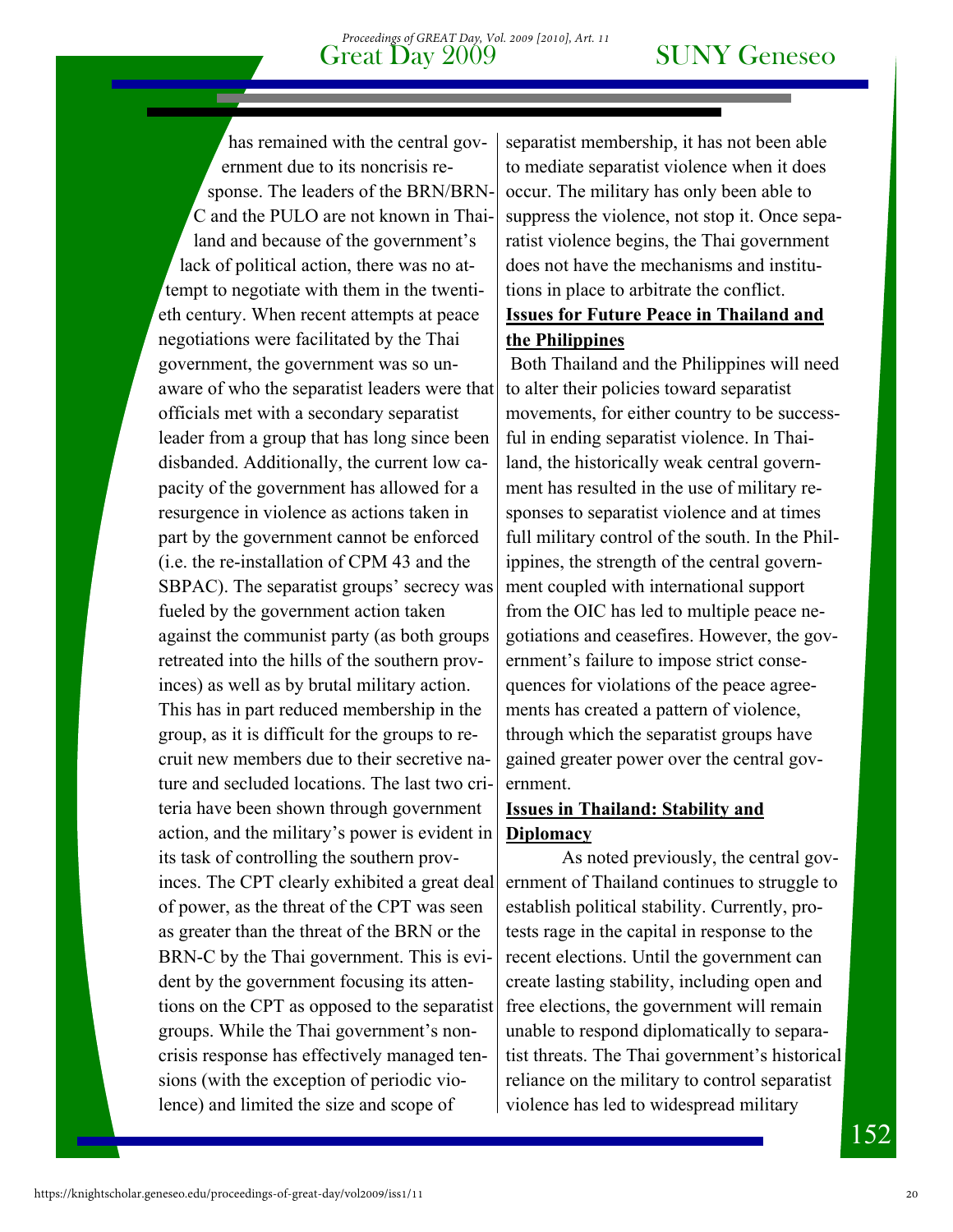#### Great Day 2009 SUNY Geneseo *Proceedings of GREAT Day, Vol. 2009 [2010], Art. 11*

has remained with the central government due to its noncrisis response. The leaders of the BRN/BRN-C and the PULO are not known in Thailand and because of the government's lack of political action, there was no attempt to negotiate with them in the twentieth century. When recent attempts at peace negotiations were facilitated by the Thai government, the government was so unaware of who the separatist leaders were that officials met with a secondary separatist leader from a group that has long since been disbanded. Additionally, the current low capacity of the government has allowed for a resurgence in violence as actions taken in part by the government cannot be enforced (i.e. the re-installation of CPM 43 and the SBPAC). The separatist groups' secrecy was fueled by the government action taken against the communist party (as both groups retreated into the hills of the southern provinces) as well as by brutal military action. This has in part reduced membership in the group, as it is difficult for the groups to recruit new members due to their secretive nature and secluded locations. The last two criteria have been shown through government action, and the military's power is evident in its task of controlling the southern provinces. The CPT clearly exhibited a great deal of power, as the threat of the CPT was seen as greater than the threat of the BRN or the BRN-C by the Thai government. This is evident by the government focusing its attentions on the CPT as opposed to the separatist groups. While the Thai government's noncrisis response has effectively managed tensions (with the exception of periodic violence) and limited the size and scope of

separatist membership, it has not been able to mediate separatist violence when it does occur. The military has only been able to suppress the violence, not stop it. Once separatist violence begins, the Thai government does not have the mechanisms and institutions in place to arbitrate the conflict. **Issues for Future Peace in Thailand and the Philippines** 

 Both Thailand and the Philippines will need to alter their policies toward separatist movements, for either country to be successful in ending separatist violence. In Thailand, the historically weak central government has resulted in the use of military responses to separatist violence and at times full military control of the south. In the Philippines, the strength of the central government coupled with international support from the OIC has led to multiple peace negotiations and ceasefires. However, the government's failure to impose strict consequences for violations of the peace agreements has created a pattern of violence, through which the separatist groups have gained greater power over the central government.

#### **Issues in Thailand: Stability and Diplomacy**

 As noted previously, the central government of Thailand continues to struggle to establish political stability. Currently, protests rage in the capital in response to the recent elections. Until the government can create lasting stability, including open and free elections, the government will remain unable to respond diplomatically to separatist threats. The Thai government's historical reliance on the military to control separatist violence has led to widespread military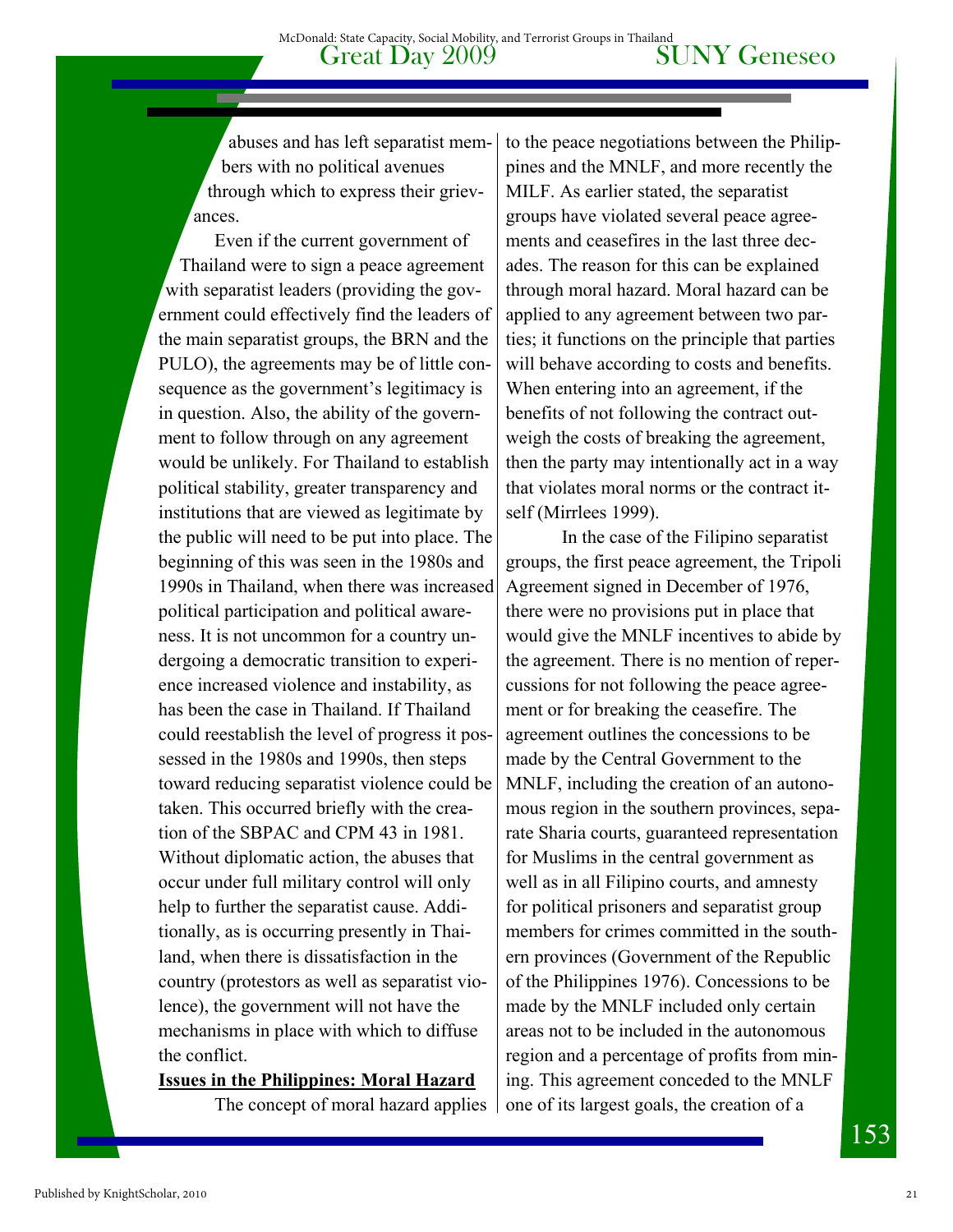abuses and has left separatist members with no political avenues through which to express their grievances.

Even if the current government of Thailand were to sign a peace agreement with separatist leaders (providing the government could effectively find the leaders of the main separatist groups, the BRN and the PULO), the agreements may be of little consequence as the government's legitimacy is in question. Also, the ability of the government to follow through on any agreement would be unlikely. For Thailand to establish political stability, greater transparency and institutions that are viewed as legitimate by the public will need to be put into place. The beginning of this was seen in the 1980s and 1990s in Thailand, when there was increased political participation and political awareness. It is not uncommon for a country undergoing a democratic transition to experience increased violence and instability, as has been the case in Thailand. If Thailand could reestablish the level of progress it possessed in the 1980s and 1990s, then steps toward reducing separatist violence could be taken. This occurred briefly with the creation of the SBPAC and CPM 43 in 1981. Without diplomatic action, the abuses that occur under full military control will only help to further the separatist cause. Additionally, as is occurring presently in Thailand, when there is dissatisfaction in the country (protestors as well as separatist violence), the government will not have the mechanisms in place with which to diffuse the conflict.

**Issues in the Philippines: Moral Hazard**

The concept of moral hazard applies

to the peace negotiations between the Philippines and the MNLF, and more recently the MILF. As earlier stated, the separatist groups have violated several peace agreements and ceasefires in the last three decades. The reason for this can be explained through moral hazard. Moral hazard can be applied to any agreement between two parties; it functions on the principle that parties will behave according to costs and benefits. When entering into an agreement, if the benefits of not following the contract outweigh the costs of breaking the agreement, then the party may intentionally act in a way that violates moral norms or the contract itself (Mirrlees 1999).

In the case of the Filipino separatist groups, the first peace agreement, the Tripoli Agreement signed in December of 1976, there were no provisions put in place that would give the MNLF incentives to abide by the agreement. There is no mention of repercussions for not following the peace agreement or for breaking the ceasefire. The agreement outlines the concessions to be made by the Central Government to the MNLF, including the creation of an autonomous region in the southern provinces, separate Sharia courts, guaranteed representation for Muslims in the central government as well as in all Filipino courts, and amnesty for political prisoners and separatist group members for crimes committed in the southern provinces (Government of the Republic of the Philippines 1976). Concessions to be made by the MNLF included only certain areas not to be included in the autonomous region and a percentage of profits from mining. This agreement conceded to the MNLF one of its largest goals, the creation of a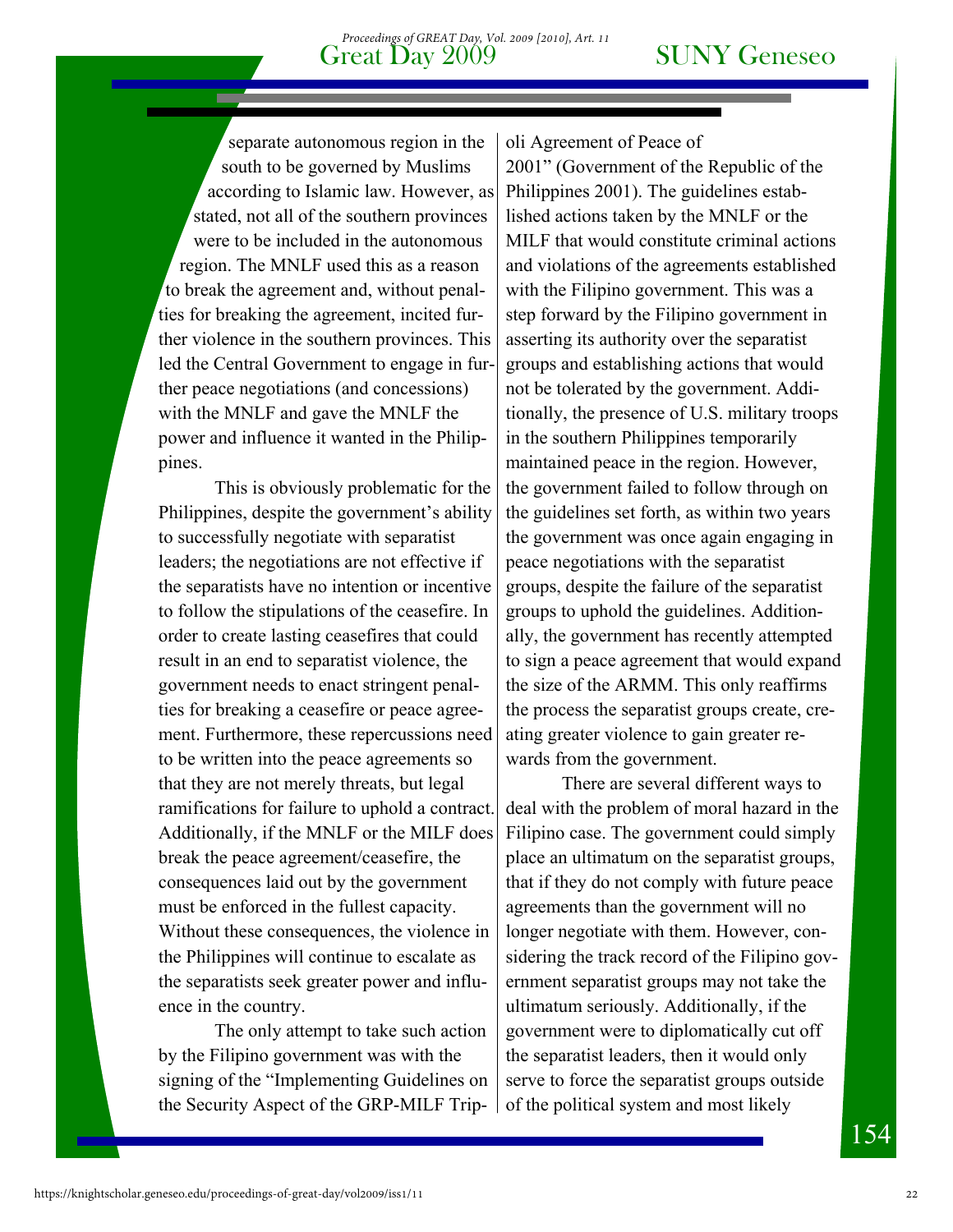#### Great Day 2009 SUNY Geneseo *Proceedings of GREAT Day, Vol. 2009 [2010], Art. 11*

separate autonomous region in the south to be governed by Muslims according to Islamic law. However, as stated, not all of the southern provinces were to be included in the autonomous region. The MNLF used this as a reason to break the agreement and, without penalties for breaking the agreement, incited further violence in the southern provinces. This led the Central Government to engage in further peace negotiations (and concessions) with the MNLF and gave the MNLF the power and influence it wanted in the Philippines.

This is obviously problematic for the Philippines, despite the government's ability to successfully negotiate with separatist leaders; the negotiations are not effective if the separatists have no intention or incentive to follow the stipulations of the ceasefire. In order to create lasting ceasefires that could result in an end to separatist violence, the government needs to enact stringent penalties for breaking a ceasefire or peace agreement. Furthermore, these repercussions need to be written into the peace agreements so that they are not merely threats, but legal ramifications for failure to uphold a contract. Additionally, if the MNLF or the MILF does break the peace agreement/ceasefire, the consequences laid out by the government must be enforced in the fullest capacity. Without these consequences, the violence in the Philippines will continue to escalate as the separatists seek greater power and influence in the country.

The only attempt to take such action by the Filipino government was with the signing of the "Implementing Guidelines on the Security Aspect of the GRP-MILF Trip-

oli Agreement of Peace of

2001" (Government of the Republic of the Philippines 2001). The guidelines established actions taken by the MNLF or the MILF that would constitute criminal actions and violations of the agreements established with the Filipino government. This was a step forward by the Filipino government in asserting its authority over the separatist groups and establishing actions that would not be tolerated by the government. Additionally, the presence of U.S. military troops in the southern Philippines temporarily maintained peace in the region. However, the government failed to follow through on the guidelines set forth, as within two years the government was once again engaging in peace negotiations with the separatist groups, despite the failure of the separatist groups to uphold the guidelines. Additionally, the government has recently attempted to sign a peace agreement that would expand the size of the ARMM. This only reaffirms the process the separatist groups create, creating greater violence to gain greater rewards from the government.

There are several different ways to deal with the problem of moral hazard in the Filipino case. The government could simply place an ultimatum on the separatist groups, that if they do not comply with future peace agreements than the government will no longer negotiate with them. However, considering the track record of the Filipino government separatist groups may not take the ultimatum seriously. Additionally, if the government were to diplomatically cut off the separatist leaders, then it would only serve to force the separatist groups outside of the political system and most likely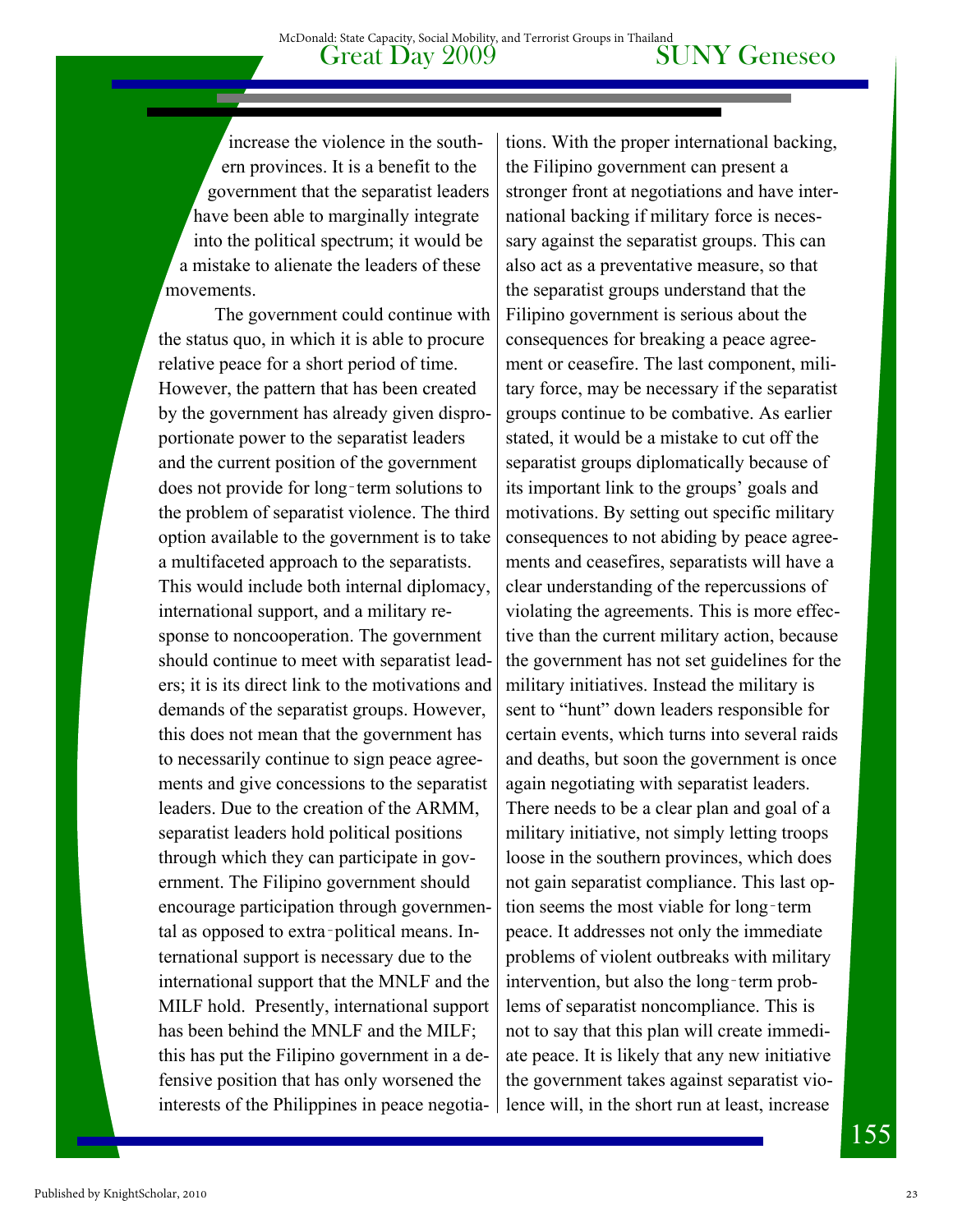increase the violence in the southern provinces. It is a benefit to the government that the separatist leaders have been able to marginally integrate into the political spectrum; it would be a mistake to alienate the leaders of these movements.

The government could continue with the status quo, in which it is able to procure relative peace for a short period of time. However, the pattern that has been created by the government has already given disproportionate power to the separatist leaders and the current position of the government does not provide for long‑term solutions to the problem of separatist violence. The third option available to the government is to take a multifaceted approach to the separatists. This would include both internal diplomacy, international support, and a military response to noncooperation. The government should continue to meet with separatist leaders; it is its direct link to the motivations and demands of the separatist groups. However, this does not mean that the government has to necessarily continue to sign peace agreements and give concessions to the separatist leaders. Due to the creation of the ARMM, separatist leaders hold political positions through which they can participate in government. The Filipino government should encourage participation through governmental as opposed to extra‑political means. International support is necessary due to the international support that the MNLF and the MILF hold. Presently, international support has been behind the MNLF and the MILF; this has put the Filipino government in a defensive position that has only worsened the interests of the Philippines in peace negotia-

tions. With the proper international backing, the Filipino government can present a stronger front at negotiations and have international backing if military force is necessary against the separatist groups. This can also act as a preventative measure, so that the separatist groups understand that the Filipino government is serious about the consequences for breaking a peace agreement or ceasefire. The last component, military force, may be necessary if the separatist groups continue to be combative. As earlier stated, it would be a mistake to cut off the separatist groups diplomatically because of its important link to the groups' goals and motivations. By setting out specific military consequences to not abiding by peace agreements and ceasefires, separatists will have a clear understanding of the repercussions of violating the agreements. This is more effective than the current military action, because the government has not set guidelines for the military initiatives. Instead the military is sent to "hunt" down leaders responsible for certain events, which turns into several raids and deaths, but soon the government is once again negotiating with separatist leaders. There needs to be a clear plan and goal of a military initiative, not simply letting troops loose in the southern provinces, which does not gain separatist compliance. This last option seems the most viable for long‑term peace. It addresses not only the immediate problems of violent outbreaks with military intervention, but also the long-term problems of separatist noncompliance. This is not to say that this plan will create immediate peace. It is likely that any new initiative the government takes against separatist violence will, in the short run at least, increase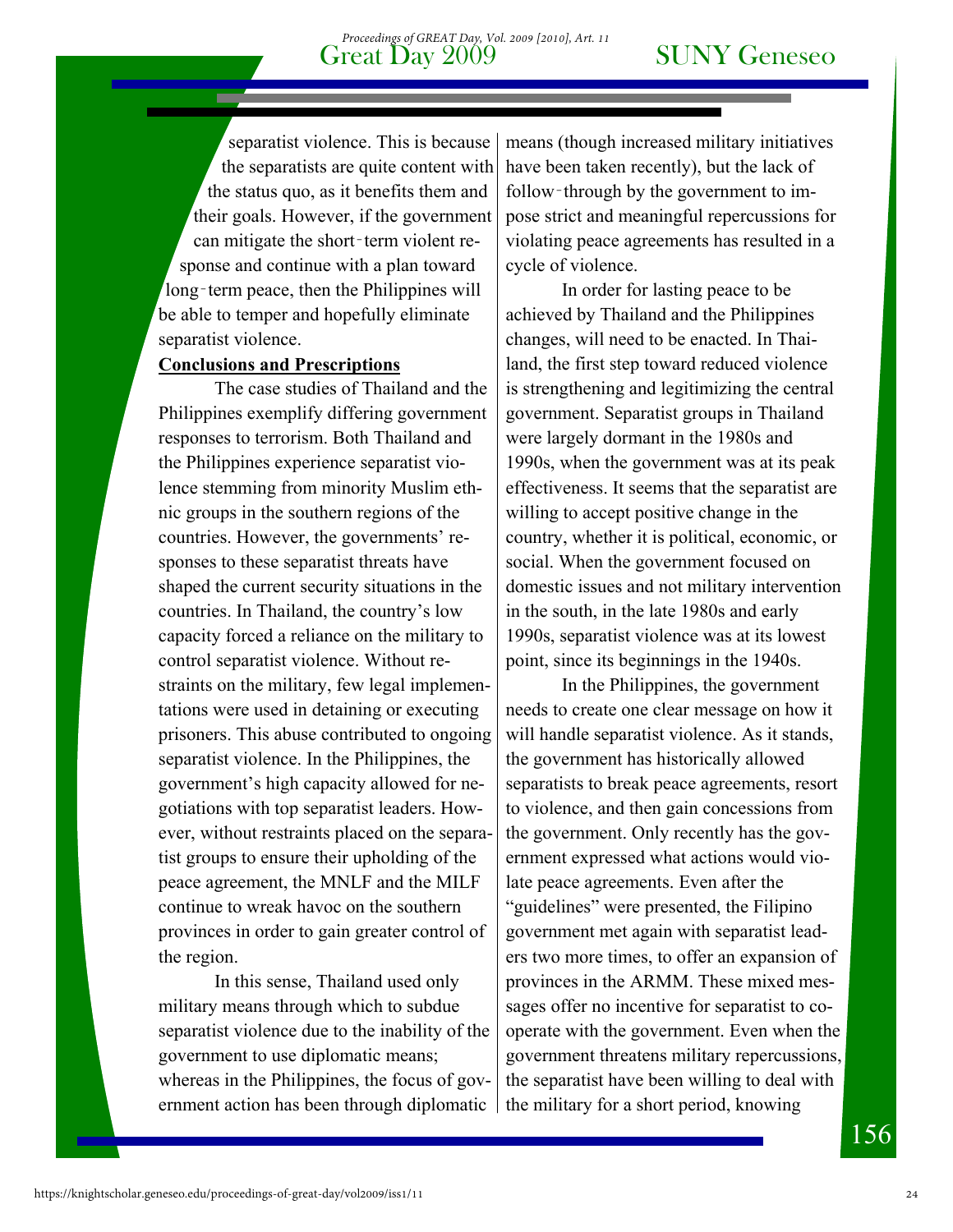#### Great Day 2009 SUNY Geneseo *Proceedings of GREAT Day, Vol. 2009 [2010], Art. 11*

separatist violence. This is because the separatists are quite content with the status quo, as it benefits them and their goals. However, if the government can mitigate the short-term violent response and continue with a plan toward long-term peace, then the Philippines will be able to temper and hopefully eliminate separatist violence.

#### **Conclusions and Prescriptions**

 The case studies of Thailand and the Philippines exemplify differing government responses to terrorism. Both Thailand and the Philippines experience separatist violence stemming from minority Muslim ethnic groups in the southern regions of the countries. However, the governments' responses to these separatist threats have shaped the current security situations in the countries. In Thailand, the country's low capacity forced a reliance on the military to control separatist violence. Without restraints on the military, few legal implementations were used in detaining or executing prisoners. This abuse contributed to ongoing separatist violence. In the Philippines, the government's high capacity allowed for negotiations with top separatist leaders. However, without restraints placed on the separatist groups to ensure their upholding of the peace agreement, the MNLF and the MILF continue to wreak havoc on the southern provinces in order to gain greater control of the region.

In this sense, Thailand used only military means through which to subdue separatist violence due to the inability of the government to use diplomatic means; whereas in the Philippines, the focus of government action has been through diplomatic

means (though increased military initiatives have been taken recently), but the lack of follow–through by the government to impose strict and meaningful repercussions for violating peace agreements has resulted in a cycle of violence.

 In order for lasting peace to be achieved by Thailand and the Philippines changes, will need to be enacted. In Thailand, the first step toward reduced violence is strengthening and legitimizing the central government. Separatist groups in Thailand were largely dormant in the 1980s and 1990s, when the government was at its peak effectiveness. It seems that the separatist are willing to accept positive change in the country, whether it is political, economic, or social. When the government focused on domestic issues and not military intervention in the south, in the late 1980s and early 1990s, separatist violence was at its lowest point, since its beginnings in the 1940s.

In the Philippines, the government needs to create one clear message on how it will handle separatist violence. As it stands, the government has historically allowed separatists to break peace agreements, resort to violence, and then gain concessions from the government. Only recently has the government expressed what actions would violate peace agreements. Even after the "guidelines" were presented, the Filipino government met again with separatist leaders two more times, to offer an expansion of provinces in the ARMM. These mixed messages offer no incentive for separatist to cooperate with the government. Even when the government threatens military repercussions, the separatist have been willing to deal with the military for a short period, knowing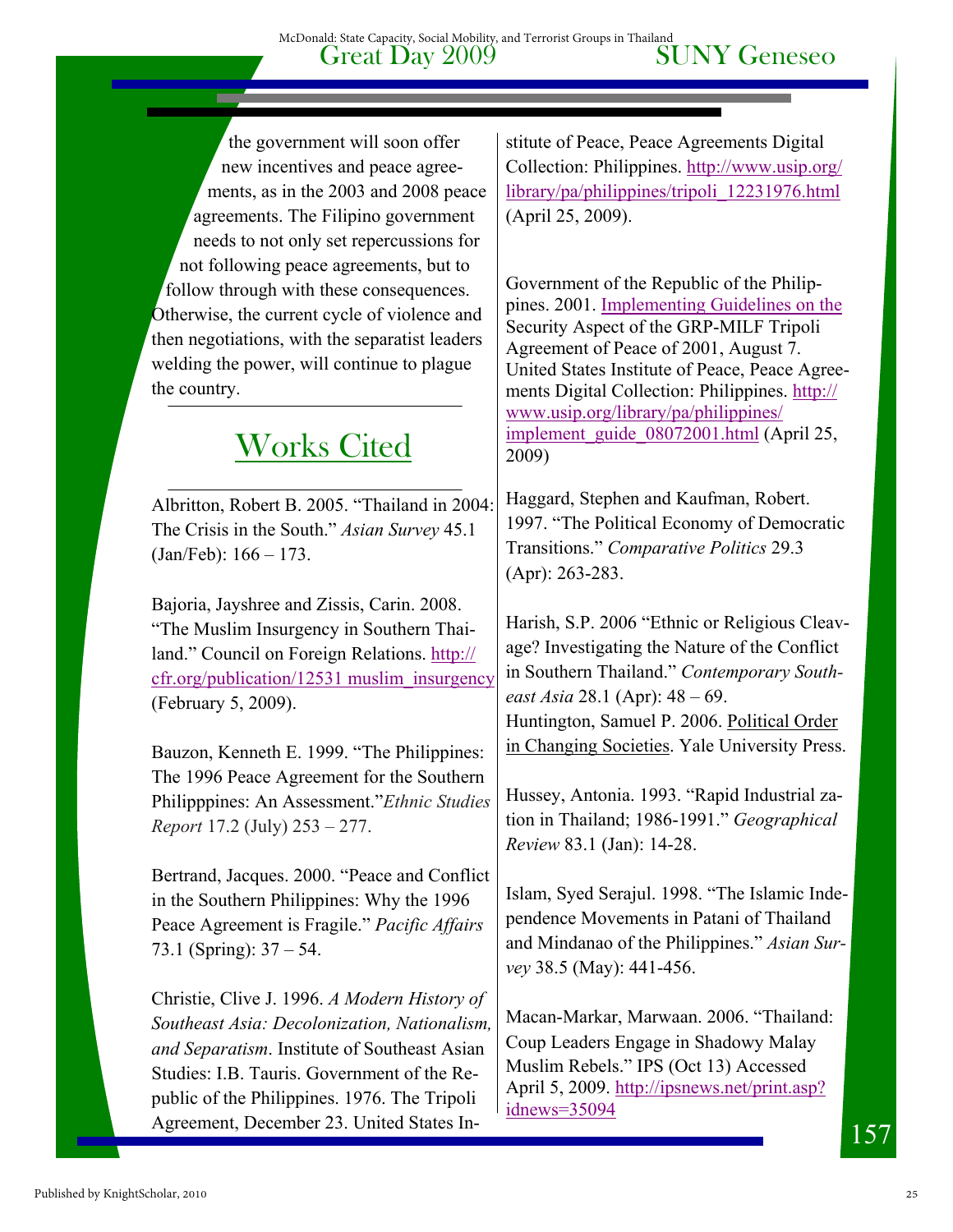Great Day 2009 SUNY Geneseo McDonald: State Capacity, Social Mobility, and Terrorist Groups in Thailand

the government will soon offer new incentives and peace agreements, as in the 2003 and 2008 peace agreements. The Filipino government needs to not only set repercussions for not following peace agreements, but to follow through with these consequences. Otherwise, the current cycle of violence and then negotiations, with the separatist leaders welding the power, will continue to plague the country.

# Works Cited

Albritton, Robert B. 2005. "Thailand in 2004: The Crisis in the South." *Asian Survey* 45.1 (Jan/Feb): 166 – 173.

Bajoria, Jayshree and Zissis, Carin. 2008. "The Muslim Insurgency in Southern Thailand." Council on Foreign Relations. http:// cfr.org/publication/12531 muslim\_insurgency (February 5, 2009).

Bauzon, Kenneth E. 1999. "The Philippines: The 1996 Peace Agreement for the Southern Philipppines: An Assessment."*Ethnic Studies Report* 17.2 (July) 253 – 277.

Bertrand, Jacques. 2000. "Peace and Conflict in the Southern Philippines: Why the 1996 Peace Agreement is Fragile." *Pacific Affairs* 73.1 (Spring): 37 – 54.

Christie, Clive J. 1996. *A Modern History of Southeast Asia: Decolonization, Nationalism, and Separatism*. Institute of Southeast Asian Studies: I.B. Tauris. Government of the Republic of the Philippines. 1976. The Tripoli Agreement, December 23. United States Institute of Peace, Peace Agreements Digital Collection: Philippines. http://www.usip.org/ library/pa/philippines/tripoli\_12231976.html (April 25, 2009).

Government of the Republic of the Philippines. 2001. Implementing Guidelines on the Security Aspect of the GRP-MILF Tripoli Agreement of Peace of 2001, August 7. United States Institute of Peace, Peace Agreements Digital Collection: Philippines. http:// www.usip.org/library/pa/philippines/ implement\_guide\_08072001.html (April 25, 2009)

Haggard, Stephen and Kaufman, Robert. 1997. "The Political Economy of Democratic Transitions." *Comparative Politics* 29.3 (Apr): 263-283.

Harish, S.P. 2006 "Ethnic or Religious Cleavage? Investigating the Nature of the Conflict in Southern Thailand." *Contemporary Southeast Asia* 28.1 (Apr): 48 – 69. Huntington, Samuel P. 2006. Political Order in Changing Societies. Yale University Press.

Hussey, Antonia. 1993. "Rapid Industrial zation in Thailand; 1986-1991." *Geographical Review* 83.1 (Jan): 14-28.

Islam, Syed Serajul. 1998. "The Islamic Independence Movements in Patani of Thailand and Mindanao of the Philippines." *Asian Survey* 38.5 (May): 441-456.

Macan-Markar, Marwaan. 2006. "Thailand: Coup Leaders Engage in Shadowy Malay Muslim Rebels." IPS (Oct 13) Accessed April 5, 2009. http://ipsnews.net/print.asp? idnews=35094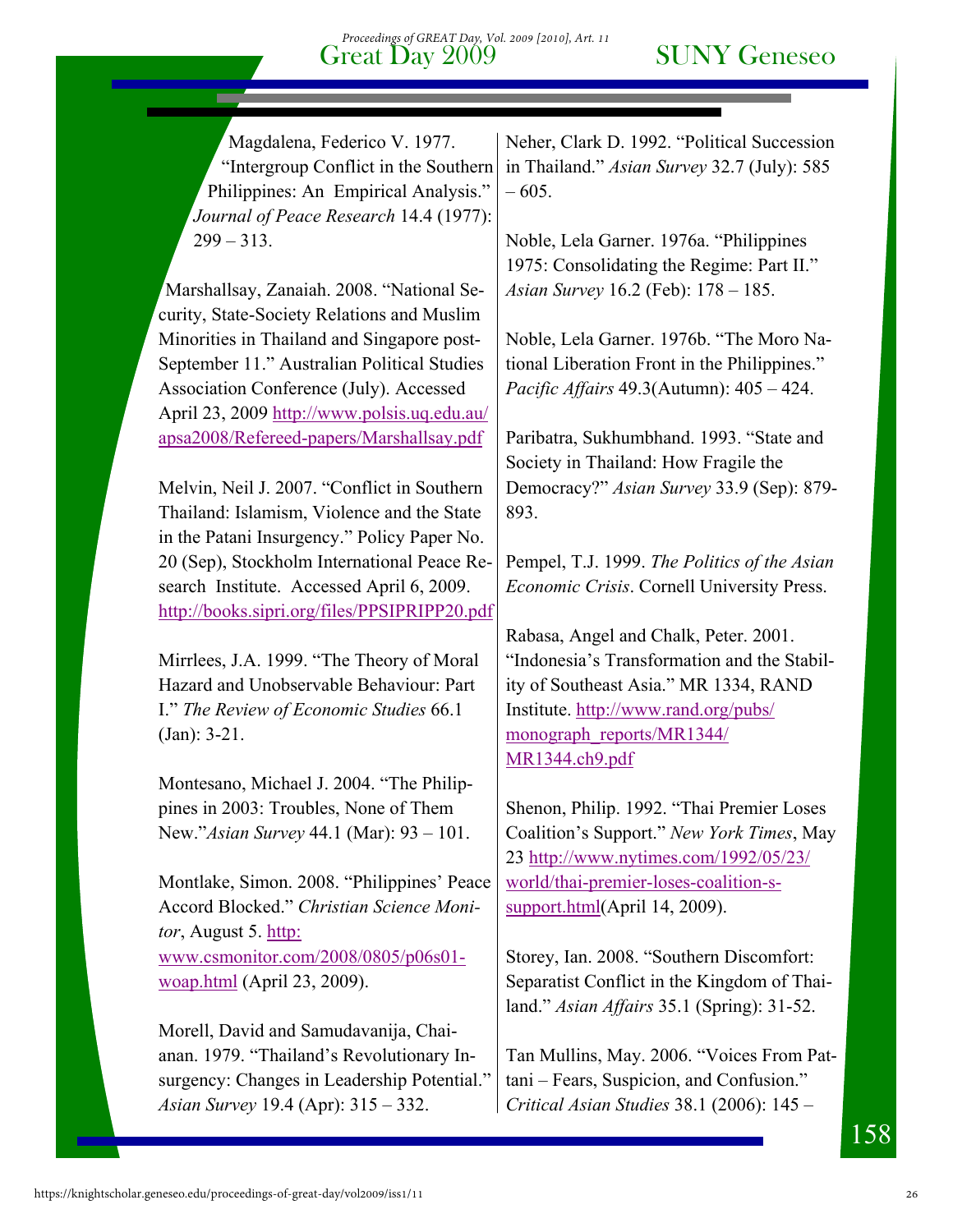Magdalena, Federico V. 1977. "Intergroup Conflict in the Southern Philippines: An Empirical Analysis." *Journal of Peace Research* 14.4 (1977):  $299 - 313$ .

Marshallsay, Zanaiah. 2008. "National Security, State-Society Relations and Muslim Minorities in Thailand and Singapore post-September 11." Australian Political Studies Association Conference (July). Accessed April 23, 2009 http://www.polsis.uq.edu.au/ apsa2008/Refereed-papers/Marshallsay.pdf

Melvin, Neil J. 2007. "Conflict in Southern Thailand: Islamism, Violence and the State in the Patani Insurgency." Policy Paper No. 20 (Sep), Stockholm International Peace Research Institute. Accessed April 6, 2009. http://books.sipri.org/files/PPSIPRIPP20.pdf

Mirrlees, J.A. 1999. "The Theory of Moral Hazard and Unobservable Behaviour: Part I." *The Review of Economic Studies* 66.1 (Jan): 3-21.

Montesano, Michael J. 2004. "The Philippines in 2003: Troubles, None of Them New."*Asian Survey* 44.1 (Mar): 93 – 101.

Montlake, Simon. 2008. "Philippines' Peace Accord Blocked." *Christian Science Monitor*, August 5. http: www.csmonitor.com/2008/0805/p06s01 woap.html (April 23, 2009).

Morell, David and Samudavanija, Chaianan. 1979. "Thailand's Revolutionary Insurgency: Changes in Leadership Potential." *Asian Survey* 19.4 (Apr): 315 – 332.

Neher, Clark D. 1992. "Political Succession in Thailand." *Asian Survey* 32.7 (July): 585 – 605.

Noble, Lela Garner. 1976a. "Philippines 1975: Consolidating the Regime: Part II." *Asian Survey* 16.2 (Feb): 178 – 185.

Noble, Lela Garner. 1976b. "The Moro National Liberation Front in the Philippines." *Pacific Affairs* 49.3(Autumn): 405 – 424.

Paribatra, Sukhumbhand. 1993. "State and Society in Thailand: How Fragile the Democracy?" *Asian Survey* 33.9 (Sep): 879- 893.

Pempel, T.J. 1999. *The Politics of the Asian Economic Crisis*. Cornell University Press.

Rabasa, Angel and Chalk, Peter. 2001. "Indonesia's Transformation and the Stability of Southeast Asia." MR 1334, RAND Institute. http://www.rand.org/pubs/ monograph\_reports/MR1344/ MR1344.ch9.pdf

Shenon, Philip. 1992. "Thai Premier Loses Coalition's Support." *New York Times*, May 23 http://www.nytimes.com/1992/05/23/ world/thai-premier-loses-coalition-ssupport.html(April 14, 2009).

Storey, Ian. 2008. "Southern Discomfort: Separatist Conflict in the Kingdom of Thailand." *Asian Affairs* 35.1 (Spring): 31-52.

Tan Mullins, May. 2006. "Voices From Pattani – Fears, Suspicion, and Confusion." *Critical Asian Studies* 38.1 (2006): 145 –